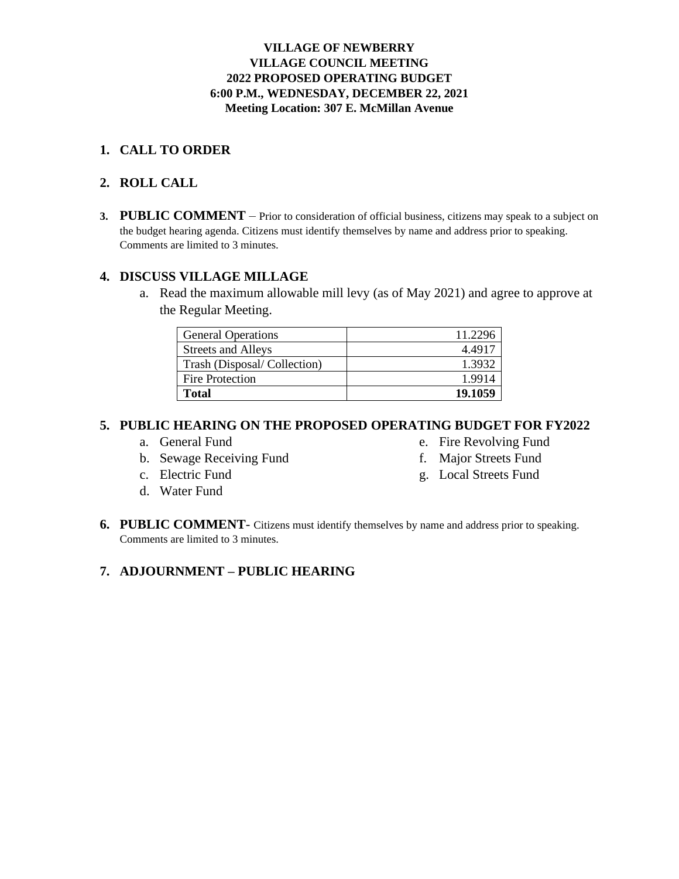### **VILLAGE OF NEWBERRY VILLAGE COUNCIL MEETING 2022 PROPOSED OPERATING BUDGET 6:00 P.M., WEDNESDAY, DECEMBER 22, 2021 Meeting Location: 307 E. McMillan Avenue**

### **1. CALL TO ORDER**

### **2. ROLL CALL**

**3. PUBLIC COMMENT** – Prior to consideration of official business, citizens may speak to a subject on the budget hearing agenda. Citizens must identify themselves by name and address prior to speaking. Comments are limited to 3 minutes.

### **4. DISCUSS VILLAGE MILLAGE**

a. Read the maximum allowable mill levy (as of May 2021) and agree to approve at the Regular Meeting.

| <b>General Operations</b>   | 11.2296 |
|-----------------------------|---------|
| <b>Streets and Alleys</b>   | 4.4917  |
| Trash (Disposal/Collection) | 1.3932  |
| Fire Protection             | 1.9914  |
| <b>Total</b>                | 19.1059 |

### **5. PUBLIC HEARING ON THE PROPOSED OPERATING BUDGET FOR FY2022**

- a. General Fund
- b. Sewage Receiving Fund
- c. Electric Fund
- d. Water Fund
- e. Fire Revolving Fund
- f. Major Streets Fund
- g. Local Streets Fund
- **6. PUBLIC COMMENT** Citizens must identify themselves by name and address prior to speaking. Comments are limited to 3 minutes.

### **7. ADJOURNMENT – PUBLIC HEARING**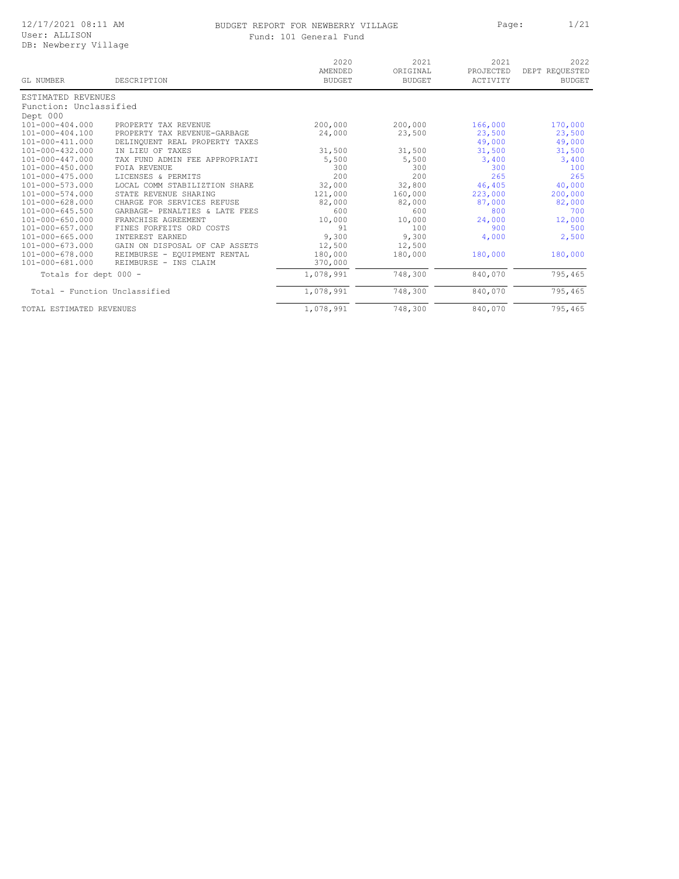#### BUDGET REPORT FOR NEWBERRY VILLAGE PART Page: 1/21 Fund: 101 General Fund

|  | ıd: 101 General Fund |  |
|--|----------------------|--|
|  |                      |  |

| GL NUMBER                     | DESCRIPTION                                       | 2020<br>AMENDED<br><b>BUDGET</b> | 2021<br>ORIGINAL<br><b>BUDGET</b> | 2021<br>PROJECTED<br>ACTIVITY | 2022<br>DEPT REQUESTED<br><b>BUDGET</b> |
|-------------------------------|---------------------------------------------------|----------------------------------|-----------------------------------|-------------------------------|-----------------------------------------|
| ESTIMATED REVENUES            |                                                   |                                  |                                   |                               |                                         |
| Function: Unclassified        |                                                   |                                  |                                   |                               |                                         |
| Dept 000                      |                                                   |                                  |                                   |                               |                                         |
| $101 - 000 - 404.000$         | PROPERTY TAX REVENUE                              | 200,000                          | 200,000                           | 166,000                       | 170,000                                 |
| $101 - 000 - 404.100$         | PROPERTY TAX REVENUE-GARBAGE                      | 24,000                           | 23,500                            | 23,500                        | 23,500                                  |
| $101 - 000 - 411.000$         | DELINOUENT REAL PROPERTY TAXES                    |                                  |                                   | 49,000                        | 49,000                                  |
| $101 - 000 - 432.000$         | IN LIEU OF TAXES                                  | 31,500                           | 31,500                            | 31,500                        | 31,500                                  |
| 101-000-447.000               | TAX FUND ADMIN FEE APPROPRIATI                    | 5,500                            | 5,500                             | 3,400                         | 3,400                                   |
| $101 - 000 - 450.000$         | <b>FOIA REVENUE</b>                               | 300                              | 300                               | 300                           | 100                                     |
| $101 - 000 - 475.000$         | LICENSES & PERMITS                                | 200                              | 200                               | 265                           | 265                                     |
| $101 - 000 - 573.000$         | LOCAL<br>COMM STABILIZTION SHARE                  | 32,000                           | 32,800                            | 46,405                        | 40,000                                  |
| $101 - 000 - 574.000$         | STATE<br>REVENUE SHARING                          | 121,000                          | 160,000                           | 223,000                       | 200,000                                 |
| $101 - 000 - 628.000$         | <b>CHARGE</b><br>FOR<br>SERVICES<br><b>REFUSE</b> | 82,000                           | 82,000                            | 87,000                        | 82,000                                  |
| $101 - 000 - 645.500$         | GARBAGE- PENALTIES & LATE FEES                    | 600                              | 600                               | 800                           | 700                                     |
| $101 - 000 - 650.000$         | FRANCHISE AGREEMENT                               | 10,000                           | 10,000                            | 24,000                        | 12,000                                  |
| $101 - 000 - 657.000$         | FINES FORFEITS ORD COSTS                          | 91                               | 100                               | 900                           | 500                                     |
| $101 - 000 - 665.000$         | INTEREST EARNED                                   | 9,300                            | 9,300                             | 4,000                         | 2,500                                   |
| $101 - 000 - 673.000$         | GAIN ON DISPOSAL OF CAP ASSETS                    | 12,500                           | 12,500                            |                               |                                         |
| $101 - 000 - 678.000$         | REIMBURSE - EQUIPMENT RENTAL                      | 180,000                          | 180,000                           | 180,000                       | 180,000                                 |
| 101-000-681.000               | REIMBURSE - INS CLAIM                             | 370,000                          |                                   |                               |                                         |
| Totals for dept 000 -         |                                                   | 1,078,991                        | 748,300                           | 840,070                       | 795,465                                 |
| Total - Function Unclassified |                                                   | 1,078,991                        | 748,300                           | 840,070                       | 795,465                                 |
| TOTAL ESTIMATED REVENUES      |                                                   | 1,078,991                        | 748,300                           | 840,070                       | 795,465                                 |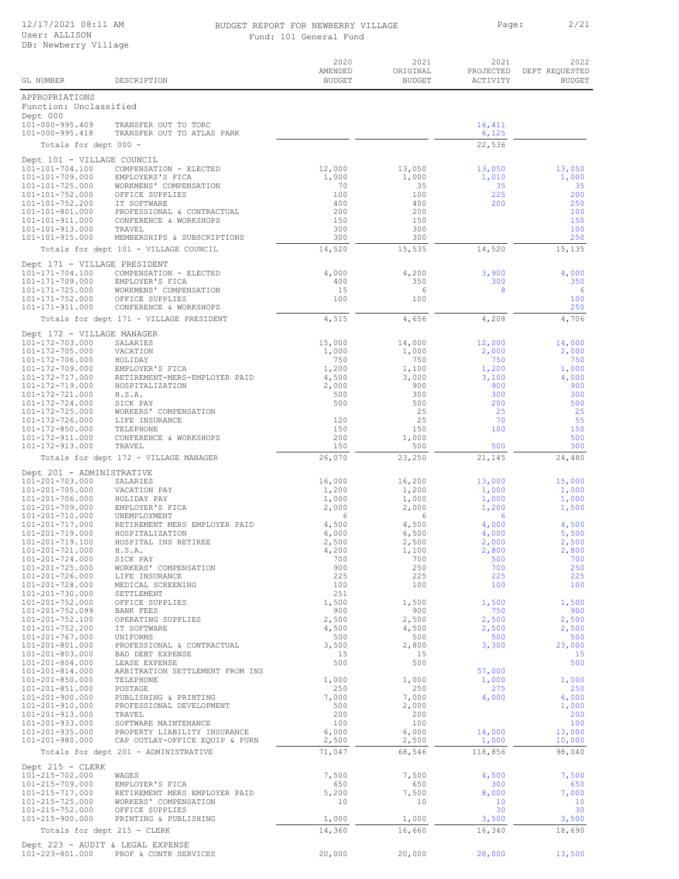# BUDGET REPORT FOR NEWBERRY VILLAGE PART Page: 2/21

| Fund: 101 General Fund |
|------------------------|
|                        |
|                        |
|                        |
|                        |

|                                                      |                                                      | 2020<br>AMENDED | 2021<br>ORIGINAL | 2021<br>PROJECTED | 2022<br>DEPT REQUESTED |
|------------------------------------------------------|------------------------------------------------------|-----------------|------------------|-------------------|------------------------|
| GL NUMBER                                            | DESCRIPTION                                          | <b>BUDGET</b>   | <b>BUDGET</b>    | ACTIVITY          | <b>BUDGET</b>          |
| APPROPRIATIONS<br>Function: Unclassified<br>Dept 000 |                                                      |                 |                  |                   |                        |
| 101-000-995.409                                      | TRANSFER OUT TO TORC                                 |                 |                  | 16,411            |                        |
| 101-000-995.418                                      | TRANSFER OUT TO ATLAS PARK                           |                 |                  | 6,125             |                        |
| Totals for dept 000 -                                |                                                      |                 |                  | 22,536            |                        |
| Dept 101 - VILLAGE COUNCIL                           | COMPENSATION - ELECTED                               |                 |                  |                   | 13,050                 |
| 101-101-704.100<br>101-101-709.000                   | EMPLOYERS'S FICA                                     | 12,000<br>1,000 | 13,050<br>1,000  | 13,050<br>1,010   | 1,000                  |
| 101-101-725.000                                      | WORKMENS' COMPENSATION                               | 70              | 35               | 35                | 35                     |
| 101-101-752.000<br>101-101-752.200                   | OFFICE SUPPLIES<br>IT SOFTWARE                       | 100<br>400      | 100<br>400       | 225<br>200        | 200<br>250             |
| 101-101-801.000                                      | PROFESSIONAL & CONTRACTUAL                           | 200             | 200              |                   | 100                    |
| 101-101-911.000<br>101-101-913.000                   | CONFERENCE & WORKSHOPS<br>TRAVEL                     | 150<br>300      | 150<br>300       |                   | 150<br>100             |
| $101 - 101 - 915.000$                                | MEMBERSHIPS & SUBSCRIPTIONS                          | 300             | 300              |                   | 250                    |
|                                                      | Totals for dept 101 - VILLAGE COUNCIL                | 14,520          | 15,535           | 14,520            | 15,135                 |
| Dept 171 - VILLAGE PRESIDENT                         |                                                      |                 |                  |                   |                        |
| 101-171-704.100<br>101-171-709.000                   | COMPENSATION - ELECTED<br>EMPLOYER'S FICA            | 4,000<br>400    | 4,200<br>350     | 3,900<br>300      | 4,000<br>350           |
| 101-171-725.000                                      | WORKMENS' COMPENSATION                               | 15              | 6                | 8                 | 6                      |
| 101-171-752.000<br>101-171-911.000                   | OFFICE SUPPLIES<br>CONFERENCE & WORKSHOPS            | 100             | 100              |                   | 100<br>250             |
|                                                      | Totals for dept 171 - VILLAGE PRESIDENT              | 4,515           | 4,656            | 4,208             | 4,706                  |
| Dept 172 - VILLAGE MANAGER                           |                                                      |                 |                  |                   |                        |
| 101-172-703.000                                      | SALARIES                                             | 15,000          | 14,000           | 12,000            | 14,000                 |
| 101-172-705.000<br>101-172-706.000                   | VACATION<br>HOLIDAY                                  | 1,000<br>750    | 1,000<br>750     | 2,000<br>750      | 2,000<br>750           |
| 101-172-709.000                                      | EMPLOYER'S FICA                                      | 1,200           | 1,100            | 1,200             | 1,000                  |
| 101-172-717.000<br>101-172-719.000                   | RETIREMENT-MERS-EMPLOYER PAID<br>HOSPITALIZATION     | 4,500<br>2,000  | 3,000<br>900     | 3,100<br>900      | 4,000<br>900           |
| 101-172-721.000                                      | H.S.A.                                               | 500             | 300              | 300               | 300                    |
| 101-172-724.000<br>101-172-725.000                   | SICK PAY<br>WORKERS' COMPENSATION                    | 500             | 500<br>25        | 200<br>25         | 500<br>25              |
| 101-172-726.000                                      | LIFE INSURANCE                                       | 120             | 25               | 70                | 55                     |
| 101-172-850.000<br>101-172-911.000                   | TELEPHONE<br>CONFERENCE & WORKSHOPS                  | 150<br>200      | 150<br>1,000     | 100               | 150<br>500             |
| 101-172-913.000                                      | TRAVEL                                               | 150             | 500              | 500               | 300                    |
|                                                      | Totals for dept 172 - VILLAGE MANAGER                | 26,070          | 23,250           | 21,145            | 24,480                 |
| Dept 201 - ADMINISTRATIVE                            |                                                      |                 |                  |                   |                        |
| 101-201-703.000<br>101-201-705.000                   | SALARIES<br>VACATION PAY                             | 16,000<br>1,200 | 16,200<br>1,200  | 13,000<br>1,000   | 15,000<br>1,000        |
| 101-201-706.000                                      | HOLIDAY PAY                                          | 1,000           | 1,000            | 1,000             | 1,000                  |
| 101-201-709.000<br>101-201-710.000                   | EMPLOYER'S FICA<br>UNEMPLOYMENT                      | 2,000<br>6      | 2,000<br>6       | 1,200<br>6        | 1,500                  |
| 101-201-717.000                                      | RETIREMENT MERS EMPLOYER PAID                        | 4,500           | 4,500            | 4,000             | 4,500                  |
| 101-201-719.000<br>101-201-719.100                   | HOSPITALIZATION<br>HOSPITAL INS RETIREE              | 6,000<br>2,500  | 6,500<br>2,500   | 4,000<br>2,000    | 5,500<br>2,500         |
| 101-201-721.000                                      | H.S.A.                                               | 4,200           | 1,100            | 2,800             | 2,800                  |
| 101-201-724.000<br>101-201-725.000                   | SICK PAY<br>WORKERS' COMPENSATION                    | 700<br>900      | 700<br>250       | 500<br>700        | 700<br>250             |
| 101-201-726.000                                      | LIFE INSURANCE                                       | 225             | 225              | 225               | 225                    |
| 101-201-728.000<br>101-201-730.000                   | MEDICAL SCREENING<br>SETTLEMENT                      | 100<br>251      | 100              | 100               | 100                    |
| 101-201-752.000                                      | OFFICE SUPPLIES                                      | 1,500           | 1,500            | 1,500             | 1,500                  |
| 101-201-752.099<br>101-201-752.100                   | BANK FEES<br>OPERATING SUPPLIES                      | 900<br>2,500    | 900<br>2,500     | 750<br>2,500      | 900<br>2,500           |
| 101-201-752.200                                      | IT SOFTWARE                                          | 4,500           | 4,500            | 2,500             | 2,500                  |
| $101 - 201 - 767.000$<br>101-201-801.000             | UNIFORMS<br>PROFESSIONAL & CONTRACTUAL               | 500<br>3,500    | 500<br>2,800     | 500<br>3,300      | 500<br>23,000          |
| 101-201-803.000                                      | BAD DEBT EXPENSE                                     | 15              | 15               |                   | 15                     |
| 101-201-804.000<br>101-201-814.000                   | LEASE EXPENSE<br>ARBITRATION SETTLEMENT FROM INS     | 500             | 500              |                   | 500                    |
| $101 - 201 - 850.000$                                | TELEPHONE                                            | 1,000           | 1,000            | 57,000<br>1,000   | 1,000                  |
| 101-201-851.000<br>101-201-900.000                   | POSTAGE<br>PUBLISHING & PRINTING                     | 250<br>7,000    | 250<br>7,000     | 275<br>4,000      | 250<br>6,000           |
| 101-201-910.000                                      | PROFESSIONAL DEVELOPMENT                             | 500             | 2,000            |                   | 1,000                  |
| 101-201-913.000                                      | TRAVEL                                               | 200<br>100      | 200<br>100       |                   | 200<br>100             |
| 101-201-933.000<br>$101 - 201 - 935.000$             | SOFTWARE MAINTENANCE<br>PROPERTY LIABILITY INSURANCE | 6,000           | 6,000            | 14,000            | 13,000                 |
| 101-201-980.000                                      | CAP OUTLAY-OFFICE EQUIP & FURN                       | 2,500           | 2,500            | 1,000             | 10,000                 |
|                                                      | Totals for dept 201 - ADMINISTRATIVE                 | 71,047          | 68,546           | 118,856           | 98,040                 |
| Dept 215 - CLERK                                     |                                                      |                 |                  |                   |                        |
| 101-215-702.000<br>101-215-709.000                   | WAGES<br>EMPLOYER'S FICA                             | 7,500<br>650    | 7,500<br>650     | 4,500<br>300      | 7,500<br>650           |
| 101-215-717.000                                      | RETIREMENT MERS EMPLOYER PAID                        | 5,200           | 7,500            | 8,000             | 7,000                  |
| 101-215-725.000<br>101-215-752.000                   | WORKERS' COMPENSATION<br>OFFICE SUPPLIES             | 10              | 10               | 10<br>30          | 10<br>30               |
| 101-215-900.000                                      | PRINTING & PUBLISHING                                | 1,000           | 1,000            | 3,500             | 3,500                  |
| Totals for dept 215 - CLERK                          |                                                      | 14,360          | 16,660           | 16,340            | 18,690                 |
| Dept 223 - AUDIT & LEGAL EXPENSE                     |                                                      |                 |                  |                   |                        |
| 101-223-801.000                                      | PROF & CONTR SERVICES                                | 20,000          | 20,000           | 28,000            | 13,500                 |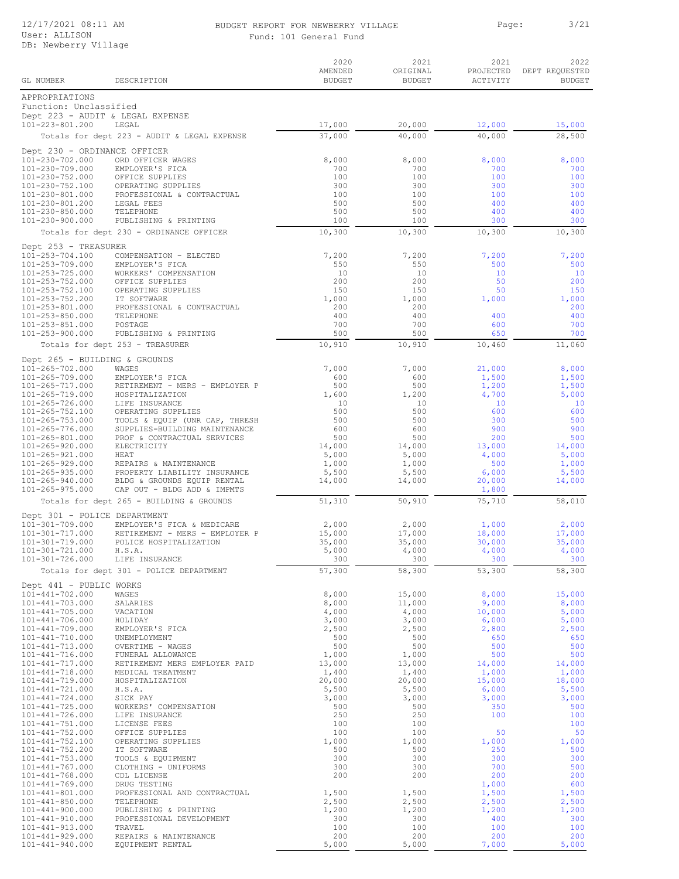### BUDGET REPORT FOR NEWBERRY VILLAGE PAGE: Page: 3/21 Fund:

|  | 101 General Fund |  |
|--|------------------|--|
|  |                  |  |

|                                                     |                                                              | 2020<br>AMENDED  | 2021<br>ORIGINAL | 2021<br>PROJECTED | 2022<br>DEPT REQUESTED |
|-----------------------------------------------------|--------------------------------------------------------------|------------------|------------------|-------------------|------------------------|
| GL NUMBER                                           | DESCRIPTION                                                  | <b>BUDGET</b>    | <b>BUDGET</b>    | ACTIVITY          | <b>BUDGET</b>          |
| APPROPRIATIONS                                      |                                                              |                  |                  |                   |                        |
| Function: Unclassified                              |                                                              |                  |                  |                   |                        |
| Dept 223 - AUDIT & LEGAL EXPENSE<br>101-223-801.200 | LEGAL                                                        | 17,000           | 20,000           | 12,000            | 15,000                 |
|                                                     | Totals for dept 223 - AUDIT & LEGAL EXPENSE                  | 37,000           | 40,000           | 40,000            | 28,500                 |
| Dept 230 - ORDINANCE OFFICER                        |                                                              |                  |                  |                   |                        |
| 101-230-702.000                                     | ORD OFFICER WAGES                                            | 8,000            | 8,000            | 8,000             | 8,000                  |
| 101-230-709.000<br>101-230-752.000                  | EMPLOYER'S FICA<br>OFFICE SUPPLIES                           | 700<br>100       | 700<br>100       | 700<br>100        | 700<br>100             |
| 101-230-752.100                                     | OPERATING SUPPLIES                                           | 300              | 300              | 300               | 300                    |
| 101-230-801.000<br>101-230-801.200                  | PROFESSIONAL & CONTRACTUAL<br>LEGAL FEES                     | 100<br>500       | 100<br>500       | 100<br>400        | 100<br>400             |
| $101 - 230 - 850.000$                               | TELEPHONE                                                    | 500              | 500              | 400               | 400                    |
| 101-230-900.000                                     | PUBLISHING & PRINTING                                        | 100              | 100              | 300               | 300                    |
|                                                     | Totals for dept 230 - ORDINANCE OFFICER                      | 10,300           | 10,300           | 10,300            | 10,300                 |
| Dept 253 - TREASURER                                |                                                              |                  |                  |                   |                        |
| 101-253-704.100<br>101-253-709.000                  | COMPENSATION - ELECTED<br>EMPLOYER'S FICA                    | 7,200<br>550     | 7,200<br>550     | 7,200<br>500      | 7,200<br>500           |
| $101 - 253 - 725.000$                               | WORKERS' COMPENSATION                                        | 10               | 10               | 10                | 10                     |
| 101-253-752.000<br>101-253-752.100                  | OFFICE SUPPLIES<br>OPERATING SUPPLIES                        | 200<br>150       | 200<br>150       | 50<br>50          | 200<br>150             |
| 101-253-752.200                                     | IT SOFTWARE                                                  | 1,000            | 1,000            | 1,000             | 1,000                  |
| 101-253-801.000<br>$101 - 253 - 850.000$            | PROFESSIONAL & CONTRACTUAL<br>TELEPHONE                      | 200<br>400       | 200<br>400       | 400               | 200<br>400             |
| $101 - 253 - 851.000$                               | POSTAGE                                                      | 700              | 700              | 600               | 700                    |
| 101-253-900.000                                     | PUBLISHING & PRINTING                                        | 500              | 500              | 650               | 700                    |
|                                                     | Totals for dept 253 - TREASURER                              | 10,910           | 10,910           | 10,460            | 11,060                 |
| Dept 265 - BUILDING & GROUNDS                       |                                                              |                  |                  |                   |                        |
| 101-265-702.000<br>$101 - 265 - 709.000$            | WAGES<br>EMPLOYER'S FICA                                     | 7,000<br>600     | 7,000<br>600     | 21,000<br>1,500   | 8,000<br>1,500         |
| $101 - 265 - 717.000$                               | RETIREMENT - MERS - EMPLOYER P                               | 500              | 500              | 1,200             | 1,500                  |
| $101 - 265 - 719.000$<br>$101 - 265 - 726.000$      | HOSPITALIZATION<br>LIFE INSURANCE                            | 1,600<br>10      | 1,200<br>10      | 4,700<br>10       | 5,000<br>10            |
| $101 - 265 - 752.100$                               | OPERATING SUPPLIES                                           | 500              | 500              | 600               | 600                    |
| $101 - 265 - 753.000$                               | TOOLS & EQUIP (UNR CAP, THRESH                               | 500<br>600       | 500<br>600       | 300<br>900        | 500<br>900             |
| $101 - 265 - 776.000$<br>101-265-801.000            | SUPPLIES-BUILDING MAINTENANCE<br>PROF & CONTRACTUAL SERVICES | 500              | 500              | 200               | 500                    |
| $101 - 265 - 920.000$                               | ELECTRICITY                                                  | 14,000           | 14,000           | 13,000            | 14,000                 |
| $101 - 265 - 921.000$<br>$101 - 265 - 929.000$      | HEAT<br>REPAIRS & MAINTENANCE                                | 5,000<br>1,000   | 5,000<br>1,000   | 4,000<br>500      | 5,000<br>1,000         |
| $101 - 265 - 935.000$                               | PROPERTY LIABILITY INSURANCE                                 | 5,500            | 5,500            | 6,000             | 5,500                  |
| $101 - 265 - 940.000$<br>101-265-975.000            | BLDG & GROUNDS EQUIP RENTAL<br>CAP OUT - BLDG ADD & IMPMTS   | 14,000           | 14,000           | 20,000<br>1,800   | 14,000                 |
|                                                     | Totals for dept 265 - BUILDING & GROUNDS                     | 51,310           | 50,910           | 75,710            | 58,010                 |
| Dept 301 - POLICE DEPARTMENT                        |                                                              |                  |                  |                   |                        |
| $101 - 301 - 709.000$                               | EMPLOYER'S FICA & MEDICARE                                   | 2,000            | 2,000            | 1,000             | 2,000                  |
| $101 - 301 - 717.000$<br>101-301-719.000            | RETIREMENT - MERS - EMPLOYER P<br>POLICE HOSPITALIZATION     | 15,000<br>35,000 | 17,000<br>35,000 | 18,000<br>30,000  | 17,000<br>35,000       |
| 101-301-721.000                                     | H.S.A.                                                       | 5,000            | 4,000            | 4,000             | 4,000                  |
| 101-301-726.000                                     | LIFE INSURANCE                                               | 300              | 300              | 300               | 300                    |
|                                                     | Totals for dept 301 - POLICE DEPARTMENT                      | 57,300           | 58,300           | 53,300            | 58,300                 |
| Dept 441 - PUBLIC WORKS                             |                                                              |                  |                  |                   |                        |
| $101 - 441 - 702.000$<br>$101 - 441 - 703.000$      | WAGES<br>SALARIES                                            | 8,000<br>8,000   | 15,000<br>11,000 | 8,000<br>9,000    | 15,000<br>8,000        |
| $101 - 441 - 705.000$                               | VACATION                                                     | 4,000            | 4,000            | 10,000            | 5,000                  |
| $101 - 441 - 706.000$<br>$101 - 441 - 709.000$      | HOLIDAY<br>EMPLOYER'S FICA                                   | 3,000<br>2,500   | 3,000<br>2,500   | 6,000<br>2,800    | 5,000<br>2,500         |
| $101 - 441 - 710.000$                               | UNEMPLOYMENT                                                 | 500              | 500              | 650               | 650                    |
| $101 - 441 - 713.000$<br>$101 - 441 - 716.000$      | OVERTIME - WAGES<br>FUNERAL ALLOWANCE                        | 500<br>1,000     | 500<br>1,000     | 500<br>500        | 500<br>500             |
| $101 - 441 - 717.000$                               | RETIREMENT MERS EMPLOYER PAID                                | 13,000           | 13,000           | 14,000            | 14,000                 |
| $101 - 441 - 718.000$                               | MEDICAL TREATMENT                                            | 1,400            | 1,400            | 1,000             | 1,000                  |
| $101 - 441 - 719.000$<br>$101 - 441 - 721.000$      | HOSPITALIZATION<br>H.S.A.                                    | 20,000<br>5,500  | 20,000<br>5,500  | 15,000<br>6,000   | 18,000<br>5,500        |
| $101 - 441 - 724.000$                               | SICK PAY                                                     | 3,000            | 3,000            | 3,000             | 3,000                  |
| $101 - 441 - 725.000$<br>$101 - 441 - 726.000$      | WORKERS' COMPENSATION<br>LIFE INSURANCE                      | 500<br>250       | 500<br>250       | 350<br>100        | 500<br>100             |
| $101 - 441 - 751.000$                               | LICENSE FEES                                                 | 100              | 100              |                   | 100                    |
| $101 - 441 - 752.000$<br>$101 - 441 - 752.100$      | OFFICE SUPPLIES<br>OPERATING SUPPLIES                        | 100<br>1,000     | 100<br>1,000     | 50<br>1,000       | 50<br>1,000            |
| 101-441-752.200                                     | IT SOFTWARE                                                  | 500              | 500              | 250               | 500                    |
| $101 - 441 - 753.000$                               | TOOLS & EQUIPMENT                                            | 300<br>300       | 300              | 300               | 300                    |
| $101 - 441 - 767.000$<br>$101 - 441 - 768.000$      | CLOTHING - UNIFORMS<br>CDL LICENSE                           | 200              | 300<br>200       | 700<br>200        | 500<br>200             |
| $101 - 441 - 769.000$                               | DRUG TESTING                                                 |                  |                  | 1,000             | 600                    |
| $101 - 441 - 801.000$<br>$101 - 441 - 850.000$      | PROFESSIONAL AND CONTRACTUAL<br>TELEPHONE                    | 1,500<br>2,500   | 1,500<br>2,500   | 1,500<br>2,500    | 1,500<br>2,500         |
| $101 - 441 - 900.000$                               | PUBLISHING & PRINTING                                        | 1,200            | 1,200            | 1,200             | 1,200                  |
| $101 - 441 - 910.000$<br>$101 - 441 - 913.000$      | PROFESSIONAL DEVELOPMENT<br>TRAVEL                           | 300<br>100       | 300<br>100       | 400<br>100        | 300<br>100             |
| $101 - 441 - 929.000$                               | REPAIRS & MAINTENANCE                                        | 200              | 200              | 200               | 200                    |
| $101 - 441 - 940.000$                               | EQUIPMENT RENTAL                                             | 5,000            | 5,000            | 7,000             | 5,000                  |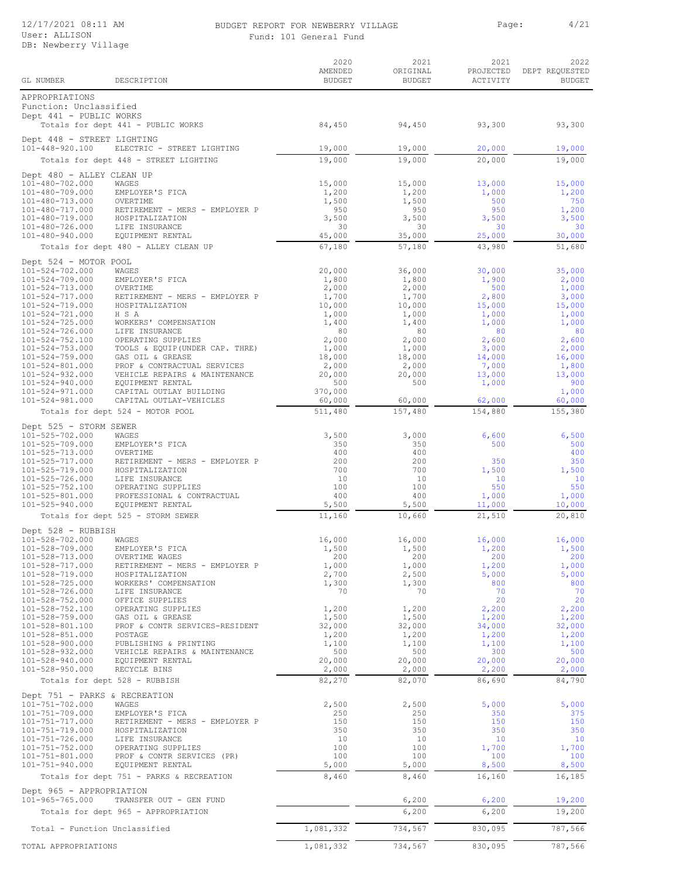### BUDGET REPORT FOR NEWBERRY VILLAGE Page: 4/21 Fund: 101 General Fund

| d: 101 General Funo |  |  |  |
|---------------------|--|--|--|
|---------------------|--|--|--|

|                                                                     |                                                              | 2020<br>AMENDED   | 2021<br>ORIGINAL | 2021<br>PROJECTED | 2022<br>DEPT REQUESTED |
|---------------------------------------------------------------------|--------------------------------------------------------------|-------------------|------------------|-------------------|------------------------|
| GL NUMBER                                                           | DESCRIPTION                                                  | <b>BUDGET</b>     | <b>BUDGET</b>    | ACTIVITY          | <b>BUDGET</b>          |
| APPROPRIATIONS<br>Function: Unclassified<br>Dept 441 - PUBLIC WORKS |                                                              |                   |                  |                   |                        |
|                                                                     | Totals for dept 441 - PUBLIC WORKS                           | 84,450            | 94,450           | 93,300            | 93,300                 |
| Dept 448 - STREET LIGHTING<br>101-448-920.100                       | ELECTRIC - STREET LIGHTING                                   | 19,000            | 19,000           | 20,000            | 19,000                 |
|                                                                     | Totals for dept 448 - STREET LIGHTING                        | 19,000            | 19,000           | 20,000            | 19,000                 |
| Dept 480 - ALLEY CLEAN UP                                           |                                                              |                   |                  |                   |                        |
| 101-480-702.000<br>101-480-709.000                                  | WAGES<br>EMPLOYER'S FICA                                     | 15,000<br>1,200   | 15,000<br>1,200  | 13,000<br>1,000   | 15,000<br>1,200        |
| 101-480-713.000                                                     | OVERTIME                                                     | 1,500             | 1,500            | 500               | 750                    |
| 101-480-717.000<br>101-480-719.000                                  | RETIREMENT - MERS - EMPLOYER P<br>HOSPITALIZATION            | 950<br>3,500      | 950<br>3,500     | 950<br>3,500      | 1,200<br>3,500         |
| 101-480-726.000                                                     | LIFE INSURANCE                                               | 30                | 30               | 30                | 30                     |
| 101-480-940.000                                                     | EQUIPMENT RENTAL<br>Totals for dept 480 - ALLEY CLEAN UP     | 45,000<br>67,180  | 35,000<br>57,180 | 25,000<br>43,980  | 30,000<br>51,680       |
|                                                                     |                                                              |                   |                  |                   |                        |
| Dept 524 - MOTOR POOL<br>101-524-702.000                            | WAGES                                                        | 20,000            | 36,000           | 30,000            | 35,000                 |
| 101-524-709.000                                                     | EMPLOYER'S FICA                                              | 1,800             | 1,800            | 1,900             | 2,000                  |
| 101-524-713.000<br>101-524-717.000                                  | OVERTIME<br>RETIREMENT - MERS - EMPLOYER P                   | 2,000<br>1,700    | 2,000<br>1,700   | 500<br>2,800      | 1,000<br>3,000         |
| 101-524-719.000                                                     | HOSPITALIZATION                                              | 10,000            | 10,000           | 15,000            | 15,000                 |
| 101-524-721.000<br>$101 - 524 - 725.000$                            | H S A<br>WORKERS' COMPENSATION                               | 1,000<br>1,400    | 1,000<br>1,400   | 1,000<br>1,000    | 1,000<br>1,000         |
| 101-524-726.000                                                     | LIFE INSURANCE                                               | 80                | 80               | 80                | 80                     |
| $101 - 524 - 752.100$<br>$101 - 524 - 753.000$                      | OPERATING SUPPLIES<br>TOOLS & EQUIP (UNDER CAP. THRE)        | 2,000<br>1,000    | 2,000<br>1,000   | 2,600<br>3,000    | 2,600<br>2,000         |
| $101 - 524 - 759.000$                                               | GAS OIL & GREASE                                             | 18,000            | 18,000           | 14,000            | 16,000                 |
| 101-524-801.000<br>$101 - 524 - 932.000$                            | PROF & CONTRACTUAL SERVICES<br>VEHICLE REPAIRS & MAINTENANCE | 2,000<br>20,000   | 2,000<br>20,000  | 7,000<br>13,000   | 1,800<br>13,000        |
| $101 - 524 - 940.000$                                               | EQUIPMENT RENTAL                                             | 500               | 500              | 1,000             | 900                    |
| $101 - 524 - 971.000$<br>101-524-981.000                            | CAPITAL OUTLAY BUILDING<br>CAPITAL OUTLAY-VEHICLES           | 370,000<br>60,000 | 60,000           | 62,000            | 1,000<br>60,000        |
|                                                                     | Totals for dept 524 - MOTOR POOL                             | 511,480           | 157,480          | 154,880           | 155,380                |
| Dept 525 - STORM SEWER                                              |                                                              |                   |                  |                   |                        |
| 101-525-702.000                                                     | WAGES                                                        | 3,500             | 3,000            | 6,600             | 6,500                  |
| 101-525-709.000<br>101-525-713.000                                  | EMPLOYER'S FICA<br>OVERTIME                                  | 350<br>400        | 350<br>400       | 500               | 500<br>400             |
| 101-525-717.000                                                     | RETIREMENT - MERS - EMPLOYER P                               | 200               | 200              | 350               | 350                    |
| 101-525-719.000<br>101-525-726.000                                  | HOSPITALIZATION<br>LIFE INSURANCE                            | 700<br>-10        | 700<br>10        | 1,500<br>10       | 1,500<br>10            |
| 101-525-752.100                                                     | OPERATING SUPPLIES                                           | 100               | 100              | 550               | 550                    |
| 101-525-801.000<br>$101 - 525 - 940.000$                            | PROFESSIONAL & CONTRACTUAL<br>EQUIPMENT RENTAL               | 400<br>5,500      | 400<br>5,500     | 1,000<br>11,000   | 1,000<br>10,000        |
|                                                                     | Totals for dept 525 - STORM SEWER                            | 11,160            | 10,660           | 21,510            | 20,810                 |
| Dept 528 - RUBBISH                                                  |                                                              |                   |                  |                   |                        |
| 101-528-702.000<br>101-528-709.000                                  | WAGES<br>EMPLOYER'S FICA                                     | 16,000<br>1,500   | 16,000<br>1,500  | 16,000<br>1,200   | 16,000<br>1,500        |
| 101-528-713.000                                                     | OVERTIME WAGES                                               | 200               | 200              | 200               | 200                    |
| 101-528-717.000<br>101-528-719.000                                  | RETIREMENT - MERS - EMPLOYER P<br>HOSPITALIZATION            | 1,000<br>2,700    | 1,000<br>2,500   | 1,200<br>5,000    | 1,000<br>5,000         |
| 101-528-725.000                                                     | WORKERS' COMPENSATION                                        | 1,300             | 1,300            | 800               | 800                    |
| 101-528-726.000<br>101-528-752.000                                  | LIFE INSURANCE<br>OFFICE SUPPLIES                            | 70                | 70               | 70<br>20          | 70<br>20               |
| 101-528-752.100                                                     | OPERATING SUPPLIES                                           | 1,200             | 1,200            | 2,200             | 2,200                  |
| 101-528-759.000<br>101-528-801.100                                  | GAS OIL & GREASE<br>PROF & CONTR SERVICES-RESIDENT           | 1,500<br>32,000   | 1,500<br>32,000  | 1,200<br>34,000   | 1,200<br>32,000        |
| 101-528-851.000                                                     | POSTAGE                                                      | 1,200             | 1,200            | 1,200             | 1,200                  |
| 101-528-900.000<br>101-528-932.000                                  | PUBLISHING & PRINTING<br>VEHICLE REPAIRS & MAINTENANCE       | 1,100<br>500      | 1,100<br>500     | 1,100<br>300      | 1,100<br>500           |
| 101-528-940.000                                                     | EQUIPMENT RENTAL                                             | 20,000            | 20,000           | 20,000            | 20,000                 |
| 101-528-950.000<br>Totals for dept 528 - RUBBISH                    | RECYCLE BINS                                                 | 2,000<br>82,270   | 2,000<br>82,070  | 2,200<br>86,690   | 2,000<br>84,790        |
| Dept 751 - PARKS & RECREATION                                       |                                                              |                   |                  |                   |                        |
| 101-751-702.000                                                     | WAGES                                                        | 2,500             | 2,500            | 5,000             | 5,000                  |
| 101-751-709.000<br>101-751-717.000                                  | EMPLOYER'S FICA                                              | 250<br>150        | 250<br>150       | 350<br>150        | 375<br>150             |
| 101-751-719.000                                                     | RETIREMENT - MERS - EMPLOYER P<br>HOSPITALIZATION            | 350               | 350              | 350               | 350                    |
| 101-751-726.000<br>101-751-752.000                                  | LIFE INSURANCE<br>OPERATING SUPPLIES                         | 10<br>100         | 10<br>100        | 10<br>1,700       | 10<br>1,700            |
| 101-751-801.000                                                     | PROF & CONTR SERVICES (PR)                                   | 100               | 100              | 100               | 100                    |
| $101 - 751 - 940.000$                                               | EQUIPMENT RENTAL                                             | 5,000             | 5,000            | 8,500             | 8,500                  |
|                                                                     | Totals for dept 751 - PARKS & RECREATION                     | 8,460             | 8,460            | 16,160            | 16,185                 |
| Dept 965 - APPROPRIATION<br>101-965-765.000                         | TRANSFER OUT - GEN FUND                                      |                   | 6,200            | 6,200             | 19,200                 |
|                                                                     | Totals for dept 965 - APPROPRIATION                          |                   | 6,200            | 6,200             | 19,200                 |
| Total - Function Unclassified                                       |                                                              | 1,081,332         | 734,567          | 830,095           | 787,566                |
|                                                                     |                                                              |                   |                  |                   |                        |
| TOTAL APPROPRIATIONS                                                |                                                              | 1,081,332         | 734,567          | 830,095           | 787,566                |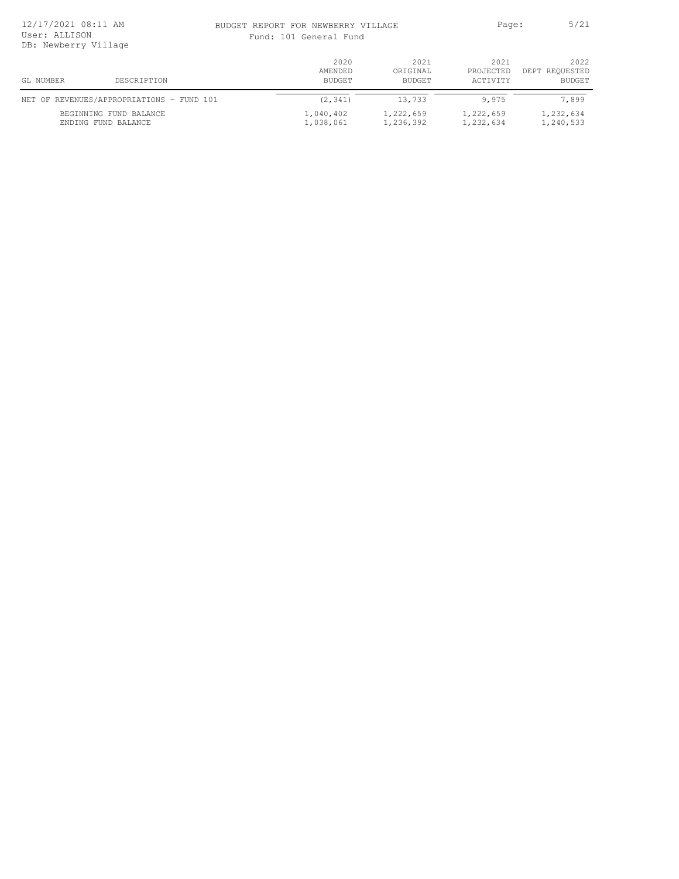| 12/17/2021 08:11 AM<br>User: ALLISON<br>DB: Newberry Village |                                               |                        | BUDGET REPORT FOR NEWBERRY VILLAGE<br>Fund: 101 General Fund |                        |                        |
|--------------------------------------------------------------|-----------------------------------------------|------------------------|--------------------------------------------------------------|------------------------|------------------------|
|                                                              |                                               | 2020<br>AMENDED        | 2021<br>ORIGINAL                                             | 2021<br>PROJECTED      | 2022<br>DEPT REQUESTED |
| GL NUMBER                                                    | DESCRIPTION                                   | BUDGET                 | BUDGET                                                       | ACTIVITY               | <b>BUDGET</b>          |
|                                                              | NET OF REVENUES/APPROPRIATIONS - FUND 101     | (2, 341)               | 13,733                                                       | 9,975                  | 7,899                  |
|                                                              | BEGINNING FUND BALANCE<br>ENDING FUND BALANCE | 1,040,402<br>1,038,061 | 1,222,659<br>1,236,392                                       | 1,222,659<br>1,232,634 | 1,232,634<br>1,240,533 |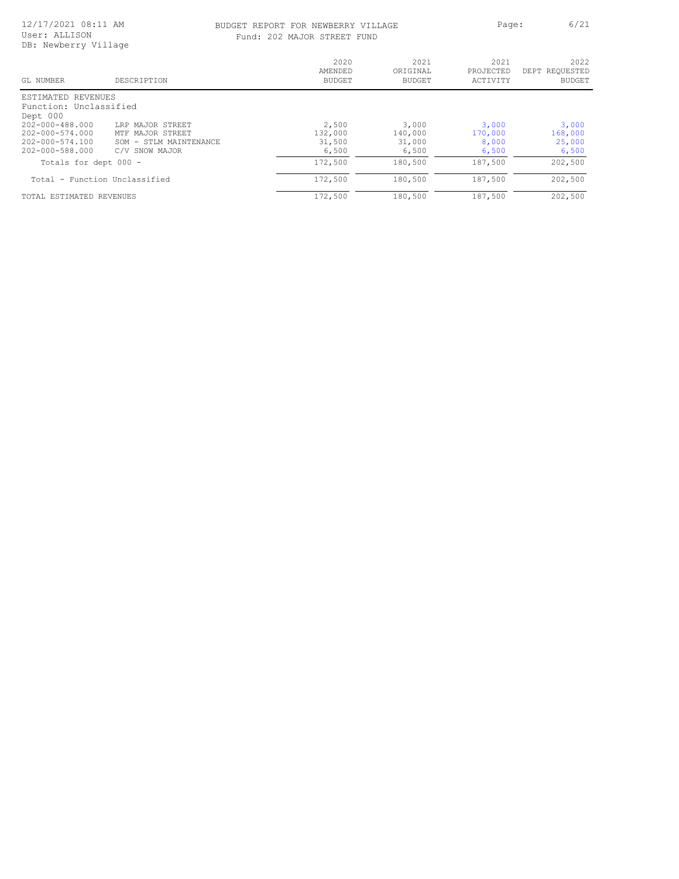# BUDGET REPORT FOR NEWBERRY VILLAGE Page: 6/21

|  |  | Fund: 202 MAJOR STREET FUND |  |
|--|--|-----------------------------|--|
|  |  |                             |  |

| GL NUMBER                     | DESCRIPTION            | 2020<br>AMENDED<br><b>BUDGET</b> | 2021<br>ORIGINAL<br><b>BUDGET</b> | 2021<br>PROJECTED<br>ACTIVITY | 2022<br>DEPT REQUESTED<br><b>BUDGET</b> |
|-------------------------------|------------------------|----------------------------------|-----------------------------------|-------------------------------|-----------------------------------------|
| ESTIMATED REVENUES            |                        |                                  |                                   |                               |                                         |
| Function: Unclassified        |                        |                                  |                                   |                               |                                         |
| Dept 000                      |                        |                                  |                                   |                               |                                         |
| $202 - 000 - 488.000$         | LRP MAJOR STREET       | 2,500                            | 3,000                             | 3,000                         | 3,000                                   |
| $202 - 000 - 574.000$         | MTF MAJOR STREET       | 132,000                          | 140,000                           | 170,000                       | 168,000                                 |
| 202-000-574.100               | SOM - STLM MAINTENANCE | 31,500                           | 31,000                            | 8,000                         | 25,000                                  |
| 202-000-588.000               | SNOW MAJOR<br>C/V      | 6,500                            | 6,500                             | 6,500                         | 6,500                                   |
| Totals for dept 000 -         |                        | 172,500                          | 180,500                           | 187,500                       | 202,500                                 |
| Total - Function Unclassified |                        | 172,500                          | 180,500                           | 187,500                       | 202,500                                 |
| TOTAL ESTIMATED REVENUES      |                        | 172,500                          | 180,500                           | 187,500                       | 202,500                                 |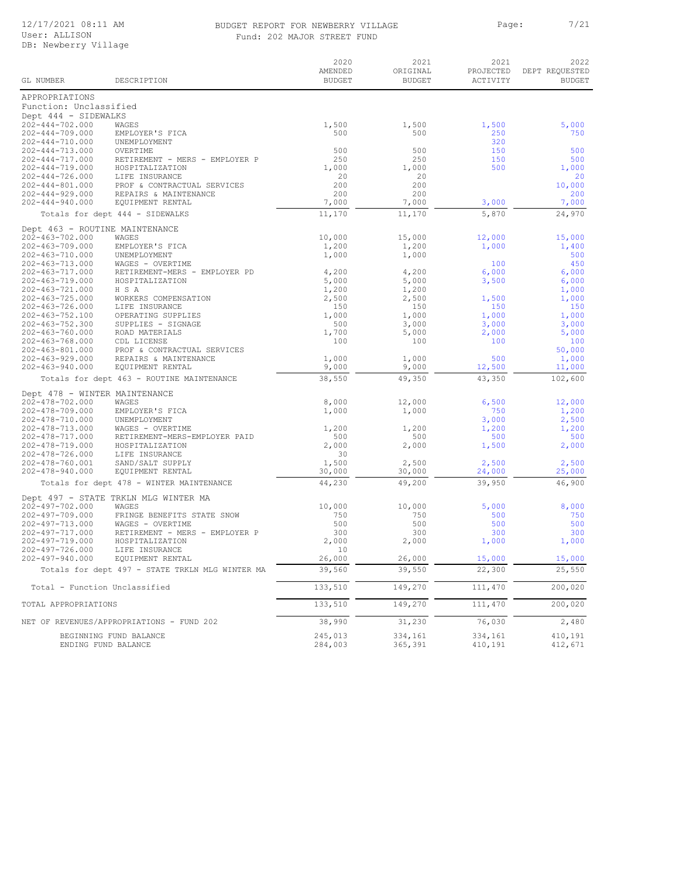#### BUDGET REPORT FOR NEWBERRY VILLAGE PART PAGE: 2/21 Fund: 202 MAJOR STREET FUND

|                                                |                                                 | 2020<br>AMENDED    | 2021<br>ORIGINAL   | 2021<br>PROJECTED  | 2022<br>DEPT REQUESTED |
|------------------------------------------------|-------------------------------------------------|--------------------|--------------------|--------------------|------------------------|
| GL NUMBER                                      | DESCRIPTION                                     | <b>BUDGET</b>      | <b>BUDGET</b>      | ACTIVITY           | <b>BUDGET</b>          |
| APPROPRIATIONS                                 |                                                 |                    |                    |                    |                        |
| Function: Unclassified                         |                                                 |                    |                    |                    |                        |
| Dept 444 - SIDEWALKS                           | WAGES                                           |                    |                    |                    |                        |
| 202-444-702.000<br>$202 - 444 - 709.000$       | EMPLOYER'S FICA                                 | 1,500<br>500       | 1,500<br>500       | 1,500<br>250       | 5,000<br>750           |
| 202-444-710.000                                | UNEMPLOYMENT                                    |                    |                    | 320                |                        |
| 202-444-713.000                                | OVERTIME                                        | 500                | 500                | 150                | 500                    |
| $202 - 444 - 717.000$                          | RETIREMENT - MERS - EMPLOYER P                  | 250                | 250                | 150                | 500                    |
| 202-444-719.000<br>$202 - 444 - 726.000$       | HOSPITALIZATION<br>LIFE INSURANCE               | 1,000<br>20        | 1,000<br>20        | 500                | 1,000<br>20            |
| $202 - 444 - 801.000$                          | PROF & CONTRACTUAL SERVICES                     | 200                | 200                |                    | 10,000                 |
| $202 - 444 - 929.000$                          | REPAIRS & MAINTENANCE                           | 200                | 200                |                    | 200                    |
| $202 - 444 - 940.000$                          | EQUIPMENT RENTAL                                | 7,000              | 7,000              | 3,000              | 7,000                  |
|                                                | Totals for dept 444 - SIDEWALKS                 | 11,170             | 11,170             | 5,870              | 24,970                 |
| Dept 463 - ROUTINE MAINTENANCE                 |                                                 |                    |                    |                    |                        |
| 202-463-702.000                                | WAGES                                           | 10,000             | 15,000             | 12,000             | 15,000                 |
| 202-463-709.000<br>202-463-710.000             | EMPLOYER'S FICA<br>UNEMPLOYMENT                 | 1,200<br>1,000     | 1,200<br>1,000     | 1,000              | 1,400<br>500           |
| 202-463-713.000                                | WAGES - OVERTIME                                |                    |                    | 100                | 450                    |
| 202-463-717.000                                | RETIREMENT-MERS - EMPLOYER PD                   | 4,200              | 4,200              | 6,000              | 6,000                  |
| $202 - 463 - 719.000$                          | HOSPITALIZATION                                 | 5,000              | 5,000              | 3,500              | 6,000                  |
| $202 - 463 - 721.000$<br>$202 - 463 - 725.000$ | H S A<br>WORKERS COMPENSATION                   | 1,200<br>2,500     | 1,200<br>2,500     | 1,500              | 1,000<br>1,000         |
| $202 - 463 - 726.000$                          | LIFE INSURANCE                                  | 150                | 150                | 150                | 150                    |
| 202-463-752.100                                | OPERATING SUPPLIES                              | 1,000              | 1,000              | 1,000              | 1,000                  |
| $202 - 463 - 752.300$                          | SUPPLIES - SIGNAGE                              | 500                | 3,000              | 3,000              | 3,000                  |
| 202-463-760.000                                | ROAD MATERIALS                                  | 1,700              | 5,000              | 2,000              | 5,000                  |
| $202 - 463 - 768.000$<br>$202 - 463 - 801.000$ | CDL LICENSE<br>PROF & CONTRACTUAL SERVICES      | 100                | 100                | 100                | 100<br>50,000          |
| $202 - 463 - 929.000$                          | REPAIRS & MAINTENANCE                           | 1,000              | 1,000              | 500                | 1,000                  |
| $202 - 463 - 940.000$                          | EQUIPMENT RENTAL                                | 9,000              | 9,000              | 12,500             | 11,000                 |
|                                                | Totals for dept 463 - ROUTINE MAINTENANCE       | 38,550             | 49,350             | 43,350             | 102,600                |
| Dept 478 - WINTER MAINTENANCE                  |                                                 |                    |                    |                    |                        |
| 202-478-702.000                                | WAGES                                           | 8,000              | 12,000             | 6,500              | 12,000                 |
| 202-478-709.000                                | EMPLOYER'S FICA                                 | 1,000              | 1,000              | 750                | 1,200                  |
| 202-478-710.000<br>202-478-713.000             | UNEMPLOYMENT<br>WAGES - OVERTIME                | 1,200              | 1,200              | 3,000<br>1,200     | 2,500<br>1,200         |
| 202-478-717.000                                | RETIREMENT-MERS-EMPLOYER PAID                   | 500                | 500                | 500                | 500                    |
| 202-478-719.000                                | HOSPITALIZATION                                 | 2,000              | 2,000              | 1,500              | 2,000                  |
| $202 - 478 - 726.000$                          | LIFE INSURANCE                                  | 30                 |                    |                    |                        |
| 202-478-760.001<br>$202 - 478 - 940.000$       | SAND/SALT SUPPLY<br>EQUIPMENT RENTAL            | 1,500<br>30,000    | 2,500<br>30,000    | 2,500<br>24,000    | 2,500<br>25,000        |
|                                                | Totals for dept 478 - WINTER MAINTENANCE        | 44,230             | 49,200             | 39,950             | 46,900                 |
|                                                |                                                 |                    |                    |                    |                        |
| $202 - 497 - 702.000$                          | Dept 497 - STATE TRKLN MLG WINTER MA<br>WAGES   | 10,000             | 10,000             | 5,000              | 8,000                  |
| 202-497-709.000                                | FRINGE BENEFITS STATE SNOW                      | 750                | 750                | 500                | 750                    |
| 202-497-713.000                                | WAGES - OVERTIME                                | 500                | 500                | 500                | 500                    |
| $202 - 497 - 717.000$                          | RETIREMENT - MERS - EMPLOYER P                  | 300                | 300                | 300                | 300                    |
| 202-497-719.000                                | HOSPITALIZATION                                 | 2,000              | 2,000              | 1,000              | 1,000                  |
| 202-497-726.000<br>$202 - 497 - 940.000$       | LIFE INSURANCE<br>EQUIPMENT RENTAL              | 10<br>26,000       | 26,000             | 15,000             | 15,000                 |
|                                                | Totals for dept 497 - STATE TRKLN MLG WINTER MA | 39,560             | 39,550             | 22,300             | 25,550                 |
| Total - Function Unclassified                  |                                                 | 133,510            | 149,270            | 111,470            | 200,020                |
| TOTAL APPROPRIATIONS                           |                                                 | 133,510            | 149,270            | 111,470            | 200,020                |
|                                                |                                                 | 38,990             | 31,230             | 76,030             | 2,480                  |
|                                                | NET OF REVENUES/APPROPRIATIONS - FUND 202       |                    |                    |                    |                        |
| ENDING FUND BALANCE                            | BEGINNING FUND BALANCE                          | 245,013<br>284,003 | 334,161<br>365,391 | 334,161<br>410,191 | 410,191<br>412,671     |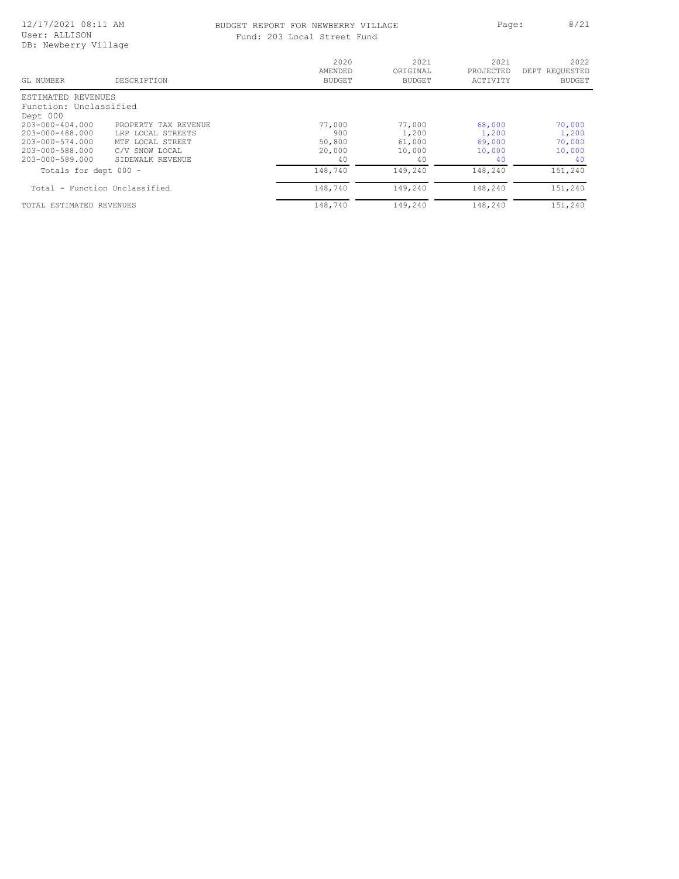### BUDGET REPORT FOR NEWBERRY VILLAGE **Page:** 8/21 Fund: 203 Local Street Fund

| DB: Newberry Village          |                      |                                  |                                   |                               |                                         |
|-------------------------------|----------------------|----------------------------------|-----------------------------------|-------------------------------|-----------------------------------------|
| GL NUMBER                     | DESCRIPTION          | 2020<br>AMENDED<br><b>BUDGET</b> | 2021<br>ORIGINAL<br><b>BUDGET</b> | 2021<br>PROJECTED<br>ACTIVITY | 2022<br>DEPT REQUESTED<br><b>BUDGET</b> |
| ESTIMATED REVENUES            |                      |                                  |                                   |                               |                                         |
| Function: Unclassified        |                      |                                  |                                   |                               |                                         |
| Dept 000                      |                      |                                  |                                   |                               |                                         |
| $203 - 000 - 404.000$         | PROPERTY TAX REVENUE | 77,000                           | 77,000                            | 68,000                        | 70,000                                  |
| 203-000-488.000               | LRP LOCAL STREETS    | 900                              | 1,200                             | 1,200                         | 1,200                                   |
| $203 - 000 - 574.000$         | MTF LOCAL STREET     | 50,800                           | 61,000                            | 69,000                        | 70,000                                  |
| 203-000-588.000               | C/V SNOW LOCAL       | 20,000                           | 10,000                            | 10,000                        | 10,000                                  |
| 203-000-589.000               | SIDEWALK REVENUE     | 40                               | 40                                | 40                            | 40                                      |
| Totals for dept 000 -         |                      | 148,740                          | 149,240                           | 148,240                       | 151,240                                 |
| Total - Function Unclassified |                      | 148,740                          | 149,240                           | 148,240                       | 151,240                                 |
| TOTAL ESTIMATED REVENUES      |                      | 148,740                          | 149,240                           | 148,240                       | 151,240                                 |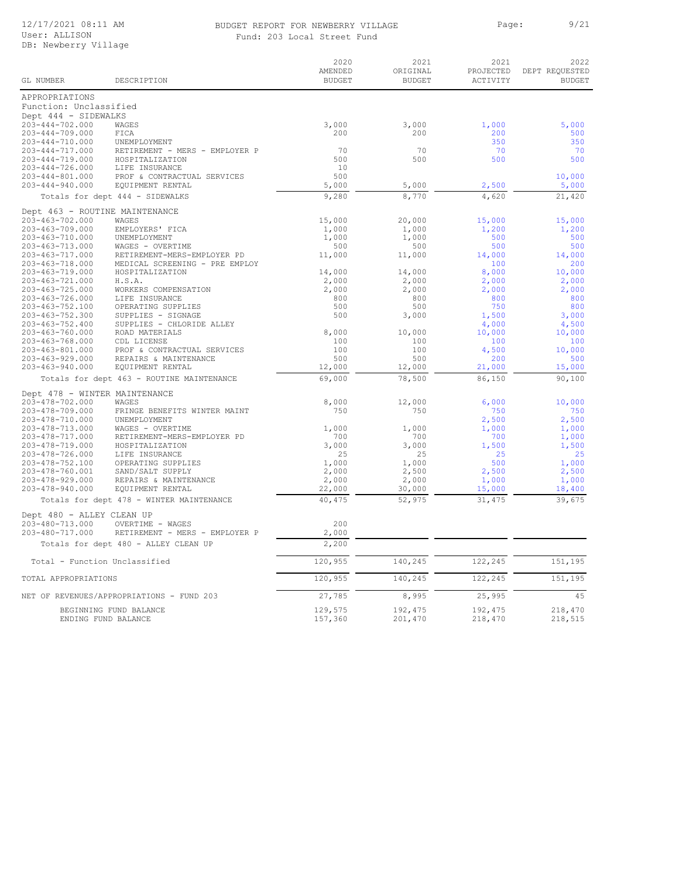### BUDGET REPORT FOR NEWBERRY VILLAGE Page: 9/21 Fund: 203 Local Street Fund

|  | Fund: 203 Local Street Fund |  |
|--|-----------------------------|--|
|  |                             |  |

| GL NUMBER                      | DESCRIPTION                               | 2020<br>AMENDED<br><b>BUDGET</b> | 2021<br>ORIGINAL<br><b>BUDGET</b> | 2021<br>PROJECTED<br>ACTIVITY | 2022<br>DEPT REQUESTED<br><b>BUDGET</b> |
|--------------------------------|-------------------------------------------|----------------------------------|-----------------------------------|-------------------------------|-----------------------------------------|
| APPROPRIATIONS                 |                                           |                                  |                                   |                               |                                         |
| Function: Unclassified         |                                           |                                  |                                   |                               |                                         |
| Dept 444 - SIDEWALKS           |                                           |                                  |                                   |                               |                                         |
| 203-444-702.000                | WAGES                                     | 3,000                            | 3,000                             | 1,000                         | 5,000                                   |
| $203 - 444 - 709.000$          | FICA                                      | 200                              | 200                               | 200                           | 500                                     |
| $203 - 444 - 710.000$          | UNEMPLOYMENT                              |                                  |                                   | 350                           | 350                                     |
| $203 - 444 - 717.000$          | RETIREMENT - MERS - EMPLOYER P            | 70                               | 70                                | 70                            | 70                                      |
| $203 - 444 - 719.000$          | HOSPITALIZATION                           | 500                              | 500                               | 500                           | 500                                     |
| 203-444-726.000                | LIFE INSURANCE                            | 10                               |                                   |                               |                                         |
| 203-444-801.000                | PROF & CONTRACTUAL SERVICES               | 500                              |                                   |                               | 10,000                                  |
| 203-444-940.000                | EQUIPMENT RENTAL                          | 5,000                            | 5,000                             | 2,500                         | 5,000                                   |
|                                | Totals for dept 444 - SIDEWALKS           | 9,280                            | 8,770                             | 4,620                         | 21,420                                  |
| Dept 463 - ROUTINE MAINTENANCE |                                           |                                  |                                   |                               |                                         |
| 203-463-702.000                | WAGES                                     | 15,000                           | 20,000                            | 15,000                        | 15,000                                  |
| 203-463-709.000                | EMPLOYERS' FICA                           | 1,000                            | 1,000                             | 1,200                         | 1,200                                   |
| 203-463-710.000                | UNEMPLOYMENT                              | 1,000                            | 1,000                             | 500                           | 500                                     |
| 203-463-713.000                | WAGES - OVERTIME                          | 500                              | 500                               | 500                           | 500                                     |
| $203 - 463 - 717.000$          | RETIREMENT-MERS-EMPLOYER PD               | 11,000                           | 11,000                            | 14,000                        | 14,000                                  |
| 203-463-718.000                | MEDICAL SCREENING - PRE EMPLOY            |                                  |                                   | 100                           | 200                                     |
| 203-463-719.000                | HOSPITALIZATION                           | 14,000                           | 14,000                            | 8,000                         | 10,000                                  |
| 203-463-721.000                | H.S.A.                                    | 2,000                            | 2,000                             | 2,000                         | 2,000                                   |
| 203-463-725.000                | WORKERS COMPENSATION                      | 2,000                            | 2,000                             | 2,000                         | 2,000                                   |
| 203-463-726.000                | LIFE INSURANCE                            | 800                              | 800                               | 800                           | 800                                     |
| 203-463-752.100                | OPERATING SUPPLIES                        | 500                              | 500                               | 750                           | 800                                     |
| 203-463-752.300                | SUPPLIES - SIGNAGE                        | 500                              | 3,000                             | 1,500                         | 3,000                                   |
| 203-463-752.400                | SUPPLIES - CHLORIDE ALLEY                 |                                  |                                   | 4,000                         | 4,500                                   |
| 203-463-760.000                | ROAD MATERIALS                            | 8,000                            | 10,000                            | 10,000                        | 10,000                                  |
| 203-463-768.000                | CDL LICENSE                               | 100                              | 100                               | 100                           | 100                                     |
| 203-463-801.000                | PROF & CONTRACTUAL SERVICES               | 100                              | 100                               | 4,500                         | 10,000                                  |
| $203 - 463 - 929.000$          | REPAIRS & MAINTENANCE                     | 500                              | 500                               | 200                           | 500                                     |
| $203 - 463 - 940.000$          | EQUIPMENT RENTAL                          | 12,000                           | 12,000                            | 21,000                        | 15,000                                  |
|                                | Totals for dept 463 - ROUTINE MAINTENANCE | 69,000                           | 78,500                            | 86,150                        | 90,100                                  |
| Dept 478 - WINTER MAINTENANCE  |                                           |                                  |                                   |                               |                                         |
| 203-478-702.000                | WAGES                                     | 8,000                            | 12,000                            | 6,000                         | 10,000                                  |
| 203-478-709.000                | FRINGE BENEFITS WINTER MAINT              | 750                              | 750                               | 750                           | 750                                     |
| 203-478-710.000                | UNEMPLOYMENT                              |                                  |                                   | 2,500                         | 2,500                                   |
| 203-478-713.000                | WAGES - OVERTIME                          | 1,000                            | 1,000                             | 1,000                         | 1,000                                   |
| 203-478-717.000                | RETIREMENT-MERS-EMPLOYER PD               | 700                              | 700                               | 700                           | 1,000                                   |
| 203-478-719.000                | HOSPITALIZATION                           | 3,000                            | 3,000                             | 1,500                         | 1,500                                   |
| 203-478-726.000                | LIFE INSURANCE                            | 25                               | 25                                | 25                            | 25                                      |
| 203-478-752.100                | OPERATING SUPPLIES                        | 1,000                            | 1,000                             | 500                           | 1,000                                   |
| 203-478-760.001                | SAND/SALT SUPPLY                          | 2,000                            | 2,500                             | 2,500                         | 2,500                                   |
| 203-478-929.000                | REPAIRS & MAINTENANCE                     | 2,000                            | 2,000                             | 1,000                         | 1,000                                   |
| 203-478-940.000                | EQUIPMENT RENTAL                          | 22,000                           | 30,000                            | 15,000                        | 18,400                                  |
|                                | Totals for dept 478 - WINTER MAINTENANCE  | 40,475                           | 52,975                            | 31,475                        | 39,675                                  |
| Dept 480 - ALLEY CLEAN UP      |                                           |                                  |                                   |                               |                                         |
| 203-480-713.000                | OVERTIME - WAGES                          | 200                              |                                   |                               |                                         |
| 203-480-717.000                | RETIREMENT - MERS - EMPLOYER P            | 2,000                            |                                   |                               |                                         |
|                                | Totals for dept 480 - ALLEY CLEAN UP      | 2,200                            |                                   |                               |                                         |
| Total - Function Unclassified  |                                           | 120,955                          | 140,245                           | 122,245                       | 151,195                                 |
| TOTAL APPROPRIATIONS           |                                           | 120,955                          | 140,245                           | 122,245                       | 151,195                                 |
|                                | NET OF REVENUES/APPROPRIATIONS - FUND 203 | 27,785                           | 8,995                             | 25,995                        | 45                                      |
|                                | BEGINNING FUND BALANCE                    | 129,575                          | 192,475                           | 192,475                       | 218,470                                 |
| ENDING FUND BALANCE            |                                           | 157,360                          | 201,470                           | 218,470                       | 218,515                                 |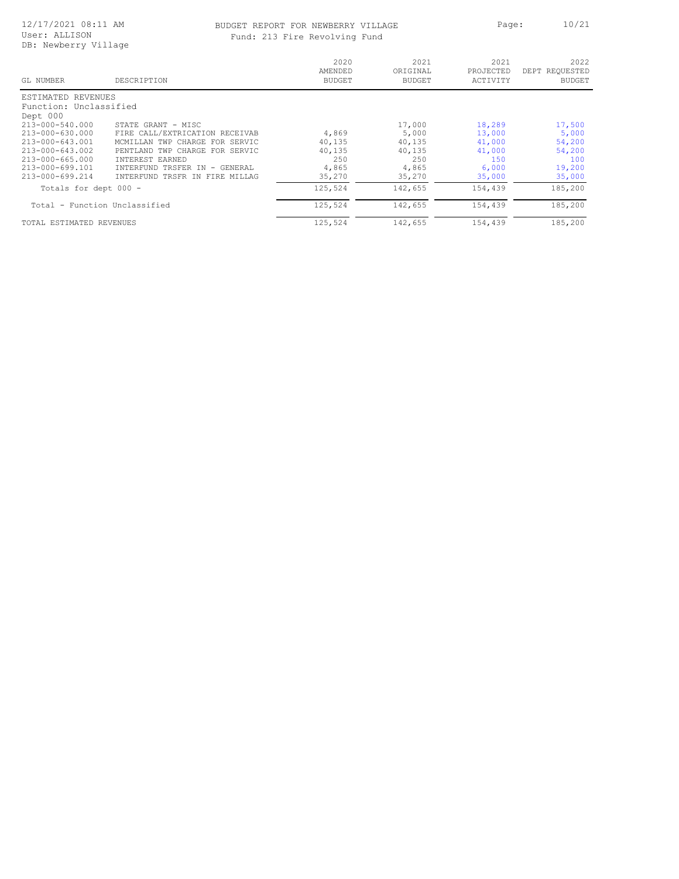#### BUDGET REPORT FOR NEWBERRY VILLAGE PART Page: 10/21 Fund: 213 Fire Revolving Fund

| GL NUMBER                     | DESCRIPTION                                      | 2020<br>AMENDED<br><b>BUDGET</b> | 2021<br>ORIGINAL<br><b>BUDGET</b> | 2021<br>PROJECTED<br>ACTIVITY | 2022<br>DEPT REQUESTED<br><b>BUDGET</b> |
|-------------------------------|--------------------------------------------------|----------------------------------|-----------------------------------|-------------------------------|-----------------------------------------|
| ESTIMATED<br>REVENUES         |                                                  |                                  |                                   |                               |                                         |
| Function: Unclassified        |                                                  |                                  |                                   |                               |                                         |
| Dept 000                      |                                                  |                                  |                                   |                               |                                         |
| 213-000-540.000               | STATE GRANT - MISC                               |                                  | 17,000                            | 18,289                        | 17,500                                  |
| $213 - 000 - 630.000$         | FIRE CALL/EXTRICATION RECEIVAB                   | 4,869                            | 5,000                             | 13,000                        | 5,000                                   |
| 213-000-643.001               | MCMILLAN TWP CHARGE FOR SERVIC                   | 40,135                           | 40,135                            | 41,000                        | 54,200                                  |
| 213-000-643.002               | TWP<br>CHARGE<br>FOR SERVIC<br>PENTLAND          | 40,135                           | 40,135                            | 41,000                        | 54,200                                  |
| 213-000-665.000               | <b>INTEREST EARNED</b>                           | 250                              | 250                               | 150                           | 100                                     |
| 213-000-699.101               | <b>TNTERFUND</b><br>TRSFER<br>$-$ GENERAL<br>T N | 4,865                            | 4,865                             | 6,000                         | 19,200                                  |
| $213 - 000 - 699.214$         | TRSFR IN<br>FIRE MILLAG<br><b>TNTERFUND</b>      | 35,270                           | 35,270                            | 35,000                        | 35,000                                  |
| Totals for dept 000 -         |                                                  | 125,524                          | 142,655                           | 154,439                       | 185,200                                 |
| Total - Function Unclassified |                                                  | 125,524                          | 142,655                           | 154,439                       | 185,200                                 |
| TOTAL ESTIMATED REVENUES      |                                                  | 125,524                          | 142,655                           | 154,439                       | 185,200                                 |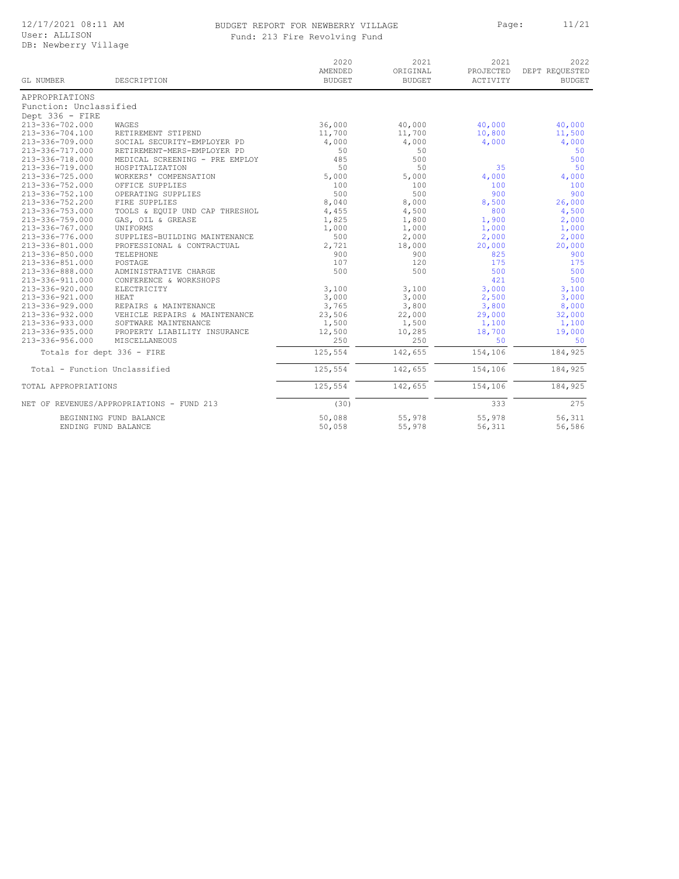# BUDGET REPORT FOR NEWBERRY VILLAGE **Page:** 11/21

|  |  |  | Fund: 213 Fire Revolving Fund |  |
|--|--|--|-------------------------------|--|
|--|--|--|-------------------------------|--|

| GL NUMBER                                     | DESCRIPTION                               | 2020<br>AMENDED<br><b>BUDGET</b> | 2021<br>ORIGINAL<br><b>BUDGET</b> | 2021<br>PROJECTED<br>ACTIVITY | 2022<br>DEPT REQUESTED<br><b>BUDGET</b> |
|-----------------------------------------------|-------------------------------------------|----------------------------------|-----------------------------------|-------------------------------|-----------------------------------------|
| APPROPRIATIONS                                |                                           |                                  |                                   |                               |                                         |
| Function: Unclassified                        |                                           |                                  |                                   |                               |                                         |
| Dept 336 - FIRE                               |                                           |                                  |                                   |                               |                                         |
| $213 - 336 - 702.000$                         | WAGES                                     | 36,000                           | 40,000                            | 40,000                        | 40,000                                  |
| $213 - 336 - 704.100$                         | RETIREMENT STIPEND                        | 11,700                           | 11,700                            | 10,800                        | 11,500                                  |
| 213-336-709.000                               | SOCIAL SECURITY-EMPLOYER PD               | 4,000                            | 4,000                             | 4,000                         | 4,000                                   |
| 213-336-717.000                               | RETIREMENT-MERS-EMPLOYER PD               | 50                               | 50                                |                               | 50                                      |
| 213-336-718.000                               | MEDICAL SCREENING - PRE EMPLOY            | 485                              | 500                               |                               | 500                                     |
| 213-336-719.000                               | HOSPITALIZATION                           | 50                               | 50                                | 35                            | 50                                      |
| 213-336-725.000                               | WORKERS' COMPENSATION                     | 5,000                            | 5,000                             | 4,000                         | 4,000                                   |
| 213-336-752.000                               | OFFICE SUPPLIES                           | 100                              | 100                               | 100                           | 100                                     |
| 213-336-752.100                               | OPERATING SUPPLIES                        | 500                              | 500                               | 900                           | 900                                     |
| $213 - 336 - 752.200$                         | FIRE SUPPLIES                             | 8,040                            | 8,000                             | 8,500                         | 26,000                                  |
| 213-336-753.000                               | TOOLS & EQUIP UND CAP THRESHOL            | 4,455                            | 4,500                             | 800                           | 4,500                                   |
| 213-336-759.000                               | GAS, OIL & GREASE                         | 1,825                            | 1,800                             | 1,900                         | 2,000                                   |
| 213-336-767.000                               | UNIFORMS                                  | 1,000                            | 1,000                             | 1,000                         | 1,000                                   |
| 213-336-776.000                               | SUPPLIES-BUILDING MAINTENANCE             | 500                              | 2,000                             | 2,000                         | 2,000                                   |
| 213-336-801.000                               | PROFESSIONAL & CONTRACTUAL                | 2,721                            | 18,000                            | 20,000                        | 20,000                                  |
| 213-336-850.000                               | TELEPHONE                                 | 900                              | 900                               | 825                           | 900                                     |
| $213 - 336 - 851.000$                         | POSTAGE                                   | 107                              | 120                               | 175                           | 175                                     |
| 213-336-888.000                               | ADMINISTRATIVE CHARGE                     | 500                              | 500                               | 500                           | 500                                     |
| 213-336-911.000                               | CONFERENCE & WORKSHOPS                    |                                  |                                   | 421                           | 500                                     |
| 213-336-920.000                               | ELECTRICITY                               | 3,100                            | 3,100                             | 3,000                         | 3,100                                   |
| 213-336-921.000                               | HEAT                                      | 3,000                            | 3,000                             | 2,500                         | 3,000                                   |
| $213 - 336 - 929.000$                         | REPAIRS & MAINTENANCE                     | 3,765                            | 3,800                             | 3,800                         | 8,000                                   |
| 213-336-932.000                               | VEHICLE REPAIRS & MAINTENANCE             | 23,506                           | 22,000                            | 29,000                        | 32,000                                  |
| 213-336-933.000                               | SOFTWARE MAINTENANCE                      | 1,500                            | 1,500                             | 1,100                         | 1,100                                   |
| 213-336-935.000                               | PROPERTY LIABILITY INSURANCE              | 12,500                           | 10,285                            | 18,700                        | 19,000                                  |
| $213 - 336 - 956.000$                         | MISCELLANEOUS                             | 250                              | 250                               | 50                            | 50                                      |
| Totals for dept 336 - FIRE                    |                                           | 125,554                          | 142,655                           | 154,106                       | 184,925                                 |
| Total - Function Unclassified                 |                                           | 125,554                          | 142,655                           | 154,106                       | 184,925                                 |
| TOTAL APPROPRIATIONS                          |                                           | 125,554                          | 142,655                           | 154,106                       | 184,925                                 |
|                                               | NET OF REVENUES/APPROPRIATIONS - FUND 213 | (30)                             |                                   | 333                           | 275                                     |
| BEGINNING FUND BALANCE<br>ENDING FUND BALANCE |                                           | 50,088<br>50,058                 | 55,978<br>55,978                  | 55,978<br>56,311              | 56,311<br>56,586                        |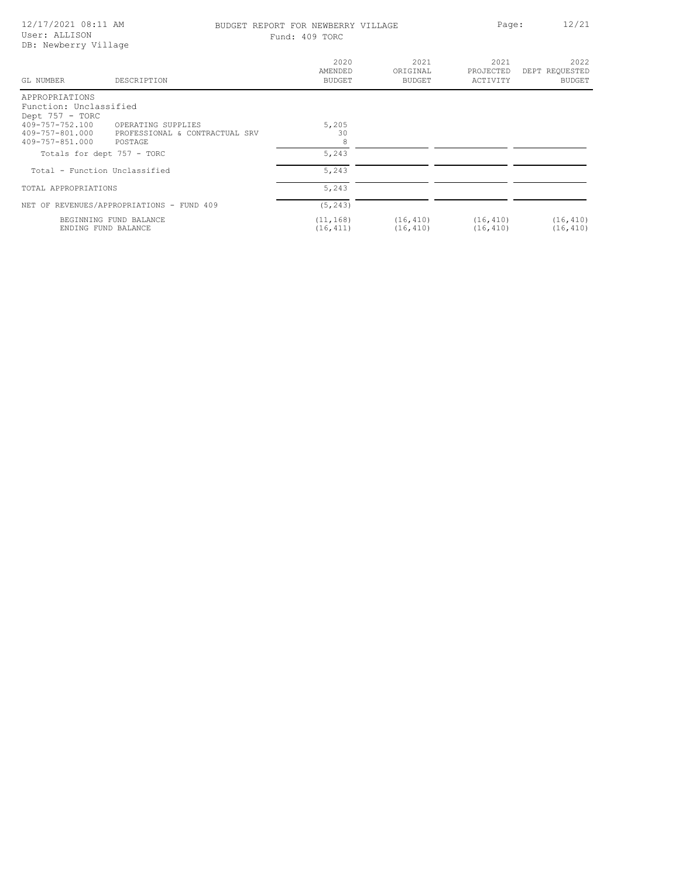| 12/17/2021 08:11 AM<br>User: ALLISON<br>DB: Newberry Village  |                                                                 | BUDGET REPORT FOR NEWBERRY VILLAGE<br>Fund: 409 TORC |                            | Page:                         | 12/21                            |  |
|---------------------------------------------------------------|-----------------------------------------------------------------|------------------------------------------------------|----------------------------|-------------------------------|----------------------------------|--|
| GL NUMBER                                                     | DESCRIPTION                                                     | 2020<br>AMENDED<br>BUDGET                            | 2021<br>ORIGINAL<br>BUDGET | 2021<br>PROJECTED<br>ACTIVITY | 2022<br>DEPT REQUESTED<br>BUDGET |  |
| APPROPRIATIONS<br>Function: Unclassified<br>Dept $757 - TORC$ |                                                                 |                                                      |                            |                               |                                  |  |
| 409-757-752.100<br>409-757-801.000<br>409-757-851.000         | OPERATING SUPPLIES<br>PROFESSIONAL & CONTRACTUAL SRV<br>POSTAGE | 5,205<br>30<br>8                                     |                            |                               |                                  |  |
| Totals for dept 757 - TORC                                    |                                                                 | 5,243                                                |                            |                               |                                  |  |
| Total - Function Unclassified                                 |                                                                 | 5,243                                                |                            |                               |                                  |  |
| TOTAL APPROPRIATIONS                                          |                                                                 | 5,243                                                |                            |                               |                                  |  |
|                                                               | NET OF REVENUES/APPROPRIATIONS - FUND 409                       | (5, 243)                                             |                            |                               |                                  |  |
| ENDING FUND BALANCE                                           | BEGINNING FUND BALANCE                                          | (11, 168)<br>(16, 411)                               | (16, 410)<br>(16, 410)     | (16, 410)<br>(16, 410)        | (16, 410)<br>(16, 410)           |  |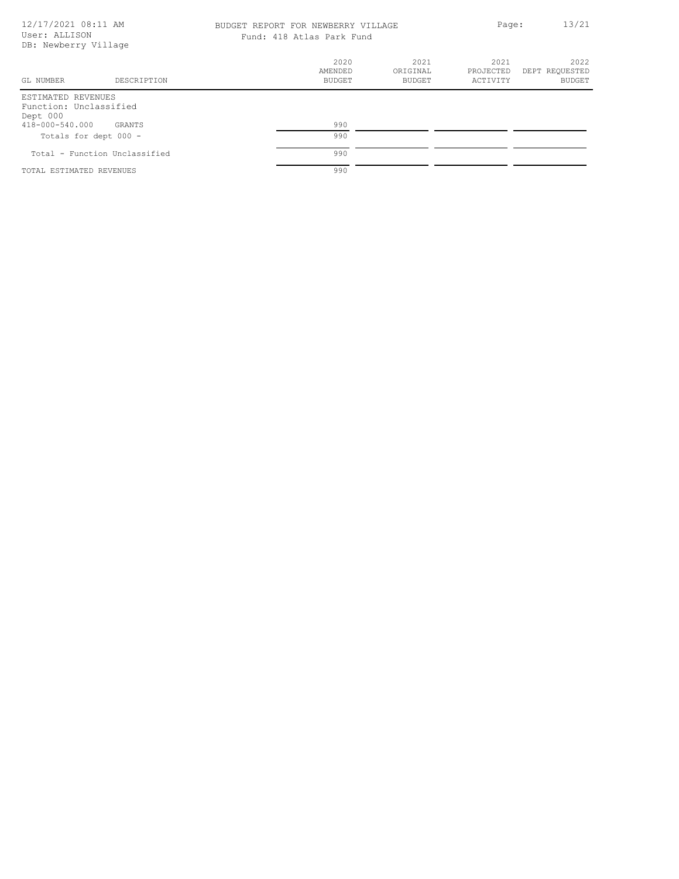| 12/17/2021 08:11 AM<br>User: ALLISON<br>DB: Newberry Village |                               |                                  | BUDGET REPORT FOR NEWBERRY VILLAGE<br>Fund: 418 Atlas Park Fund |                               |                                         |
|--------------------------------------------------------------|-------------------------------|----------------------------------|-----------------------------------------------------------------|-------------------------------|-----------------------------------------|
| GL NUMBER                                                    | DESCRIPTION                   | 2020<br>AMENDED<br><b>BUDGET</b> | 2021<br>ORIGINAL<br><b>BUDGET</b>                               | 2021<br>PROJECTED<br>ACTIVITY | 2022<br>DEPT REQUESTED<br><b>BUDGET</b> |
| ESTIMATED REVENUES<br>Function: Unclassified<br>Dept 000     |                               |                                  |                                                                 |                               |                                         |
| 418-000-540.000<br>Totals for dept 000 -                     | GRANTS                        | 990<br>990                       |                                                                 |                               |                                         |
|                                                              | Total - Function Unclassified | 990                              |                                                                 |                               |                                         |
| TOTAL ESTIMATED REVENUES                                     |                               | 990                              |                                                                 |                               |                                         |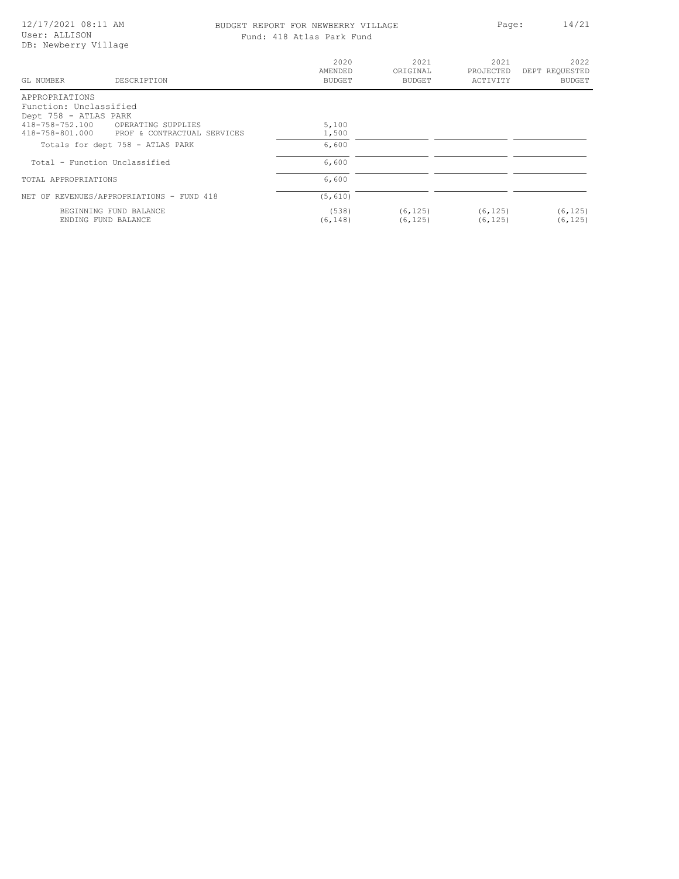| 12/17/2021 08:11 AM<br>User: ALLISON<br>DB: Newberry Village                                                                                                 | Fund: 418 Atlas Park Fund     | BUDGET REPORT FOR NEWBERRY VILLAGE |                               | 14/21<br>Page:                          |
|--------------------------------------------------------------------------------------------------------------------------------------------------------------|-------------------------------|------------------------------------|-------------------------------|-----------------------------------------|
| GL NUMBER<br>DESCRIPTION                                                                                                                                     | 2020<br>AMENDED<br>BUDGET     | 2021<br>ORIGINAL<br>BUDGET         | 2021<br>PROJECTED<br>ACTIVITY | 2022<br>DEPT REQUESTED<br><b>BUDGET</b> |
| APPROPRIATIONS<br>Function: Unclassified<br>Dept 758 - ATLAS PARK<br>418-758-752.100<br>OPERATING SUPPLIES<br>418-758-801.000<br>PROF & CONTRACTUAL SERVICES | 5,100<br>1,500<br>6,600       |                                    |                               |                                         |
| Totals for dept 758 - ATLAS PARK<br>Total - Function Unclassified<br>TOTAL APPROPRIATIONS                                                                    | 6,600<br>6,600                |                                    |                               |                                         |
| NET OF REVENUES/APPROPRIATIONS - FUND 418<br>BEGINNING FUND BALANCE<br>ENDING FUND BALANCE                                                                   | (5, 610)<br>(538)<br>(6, 148) | (6, 125)<br>(6, 125)               | (6, 125)<br>(6, 125)          | (6, 125)<br>(6, 125)                    |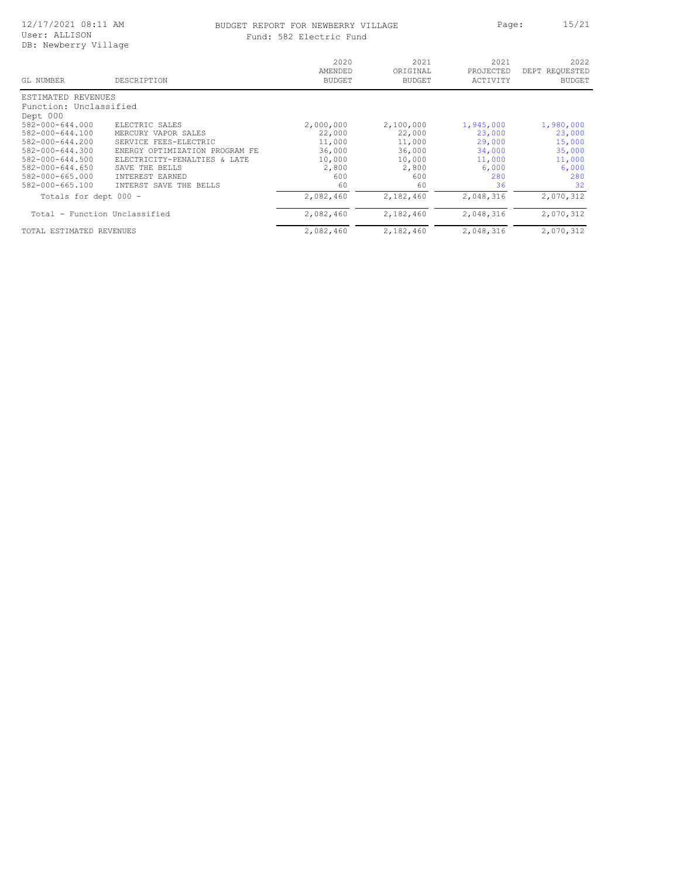#### BUDGET REPORT FOR NEWBERRY VILLAGE **Page:** 15/21 Fund: 582 Electric Fund

| nd: 582 Electric Fund |
|-----------------------|
|-----------------------|

| GL NUMBER                | DESCRIPTION                       | 2020<br>AMENDED<br><b>BUDGET</b> | 2021<br>ORIGINAL<br><b>BUDGET</b> | 2021<br>PROJECTED<br>ACTIVITY | 2022<br>DEPT REQUESTED<br><b>BUDGET</b> |
|--------------------------|-----------------------------------|----------------------------------|-----------------------------------|-------------------------------|-----------------------------------------|
| REVENUES<br>ESTIMATED    |                                   |                                  |                                   |                               |                                         |
| Function: Unclassified   |                                   |                                  |                                   |                               |                                         |
| Dept 000                 |                                   |                                  |                                   |                               |                                         |
| 582-000-644.000          | ELECTRIC SALES                    | 2,000,000                        | 2,100,000                         | 1,945,000                     | 1,980,000                               |
| $582 - 000 - 644.100$    | MERCURY VAPOR SALES               | 22,000                           | 22,000                            | 23,000                        | 23,000                                  |
| $582 - 000 - 644.200$    | SERVICE FEES-ELECTRIC             | 11,000                           | 11,000                            | 29,000                        | 15,000                                  |
| $582 - 000 - 644.300$    | ENERGY OPTIMIZATION<br>PROGRAM FE | 36,000                           | 36,000                            | 34,000                        | 35,000                                  |
| 582-000-644.500          | ELECTRICITY-PENALTIES & LATE      | 10,000                           | 10,000                            | 11,000                        | 11,000                                  |
| $582 - 000 - 644.650$    | SAVE THE BELLS                    | 2,800                            | 2,800                             | 6,000                         | 6,000                                   |
| 582-000-665.000          | INTEREST EARNED                   | 600                              | 600                               | 280                           | 280                                     |
| 582-000-665.100          | INTERST SAVE<br>THE BELLS         | 60                               | 60                                | 36                            | 32                                      |
| Totals for dept 000 -    |                                   | 2,082,460                        | 2,182,460                         | 2,048,316                     | 2,070,312                               |
| Total                    | - Function Unclassified           | 2,082,460                        | 2,182,460                         | 2,048,316                     | 2,070,312                               |
| TOTAL ESTIMATED REVENUES |                                   | 2,082,460                        | 2,182,460                         | 2,048,316                     | 2,070,312                               |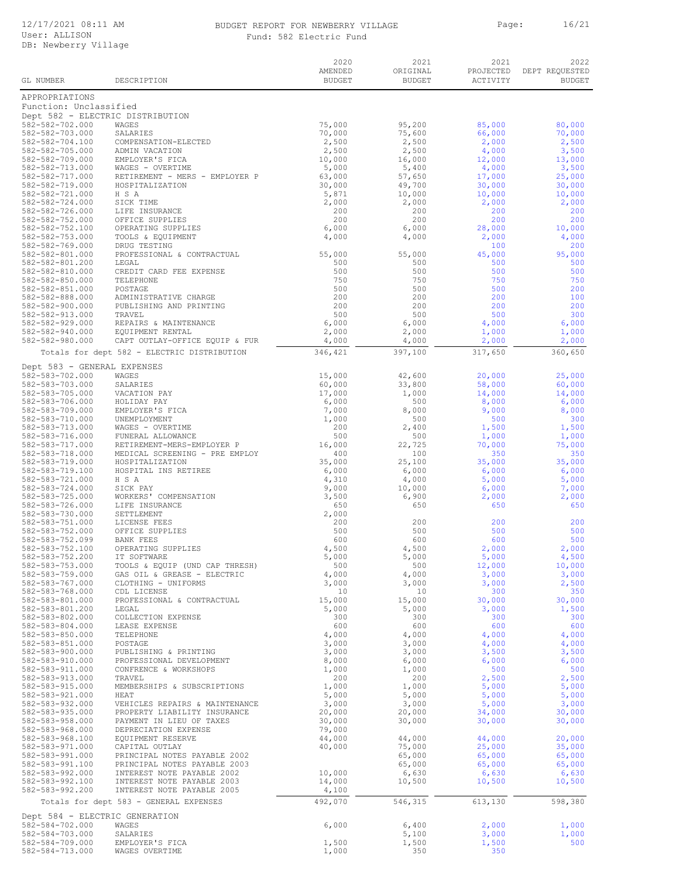#### BUDGET REPORT FOR NEWBERRY VILLAGE Page: 16/21 Fund: 582 Electric Fund

|                                                            |                                                                | 2020<br>AMENDED  | 2021<br>ORIGINAL | 2021<br>PROJECTED | 2022<br>DEPT REQUESTED |
|------------------------------------------------------------|----------------------------------------------------------------|------------------|------------------|-------------------|------------------------|
| GL NUMBER                                                  | DESCRIPTION                                                    | <b>BUDGET</b>    | <b>BUDGET</b>    | ACTIVITY          | <b>BUDGET</b>          |
| APPROPRIATIONS                                             |                                                                |                  |                  |                   |                        |
| Function: Unclassified<br>Dept 582 - ELECTRIC DISTRIBUTION |                                                                |                  |                  |                   |                        |
| 582-582-702.000                                            | WAGES                                                          | 75,000           | 95,200           | 85,000            | 80,000                 |
| 582-582-703.000<br>582-582-704.100                         | SALARIES<br>COMPENSATION-ELECTED                               | 70,000<br>2,500  | 75,600<br>2,500  | 66,000<br>2,000   | 70,000<br>2,500        |
| 582-582-705.000                                            | ADMIN VACATION                                                 | 2,500            | 2,500            | 4,000             | 3,500                  |
| 582-582-709.000<br>582-582-713.000                         | EMPLOYER'S FICA<br>WAGES - OVERTIME                            | 10,000<br>5,000  | 16,000<br>5,400  | 12,000<br>4,000   | 13,000<br>3,500        |
| 582-582-717.000                                            | RETIREMENT - MERS - EMPLOYER P                                 | 63,000           | 57,650           | 17,000            | 25,000                 |
| 582-582-719.000                                            | HOSPITALIZATION                                                | 30,000           | 49,700           | 30,000            | 30,000                 |
| 582-582-721.000<br>582-582-724.000                         | H S A<br>SICK TIME                                             | 5,871<br>2,000   | 10,000<br>2,000  | 10,000<br>2,000   | 10,000<br>2,000        |
| 582-582-726.000                                            | LIFE INSURANCE                                                 | 200              | 200              | 200               | 200                    |
| 582-582-752.000<br>582-582-752.100                         | OFFICE SUPPLIES<br>OPERATING SUPPLIES                          | 200<br>6,000     | 200<br>6,000     | 200<br>28,000     | 200<br>10,000          |
| 582-582-753.000                                            | TOOLS & EQUIPMENT                                              | 4,000            | 4,000            | 2,000             | 4,000                  |
| 582-582-769.000<br>582-582-801.000                         | DRUG TESTING<br>PROFESSIONAL & CONTRACTUAL                     | 55,000           | 55,000           | 100<br>45,000     | 200<br>95,000          |
| 582-582-801.200                                            | LEGAL                                                          | 500              | 500              | 500               | 500                    |
| 582-582-810.000                                            | CREDIT CARD FEE EXPENSE                                        | 500<br>750       | 500              | 500               | 500                    |
| 582-582-850.000<br>582-582-851.000                         | TELEPHONE<br>POSTAGE                                           | 500              | 750<br>500       | 750<br>500        | 750<br>200             |
| 582-582-888.000                                            | ADMINISTRATIVE CHARGE                                          | 200              | 200              | 200               | 100                    |
| 582-582-900.000<br>582-582-913.000                         | PUBLISHING AND PRINTING<br>TRAVEL                              | 200<br>500       | 200<br>500       | 200<br>500        | 200<br>300             |
| $582 - 582 - 929.000$                                      | REPAIRS & MAINTENANCE                                          | 6,000            | 6,000            | 4,000             | 6,000                  |
| 582-582-940.000<br>582-582-980.000                         | EQUIPMENT RENTAL<br>CAPT OUTLAY-OFFICE EQUIP & FUR             | 2,000<br>4,000   | 2,000<br>4,000   | 1,000<br>2,000    | 1,000<br>2,000         |
|                                                            | Totals for dept 582 - ELECTRIC DISTRIBUTION                    | 346,421          | 397,100          | 317,650           | 360,650                |
|                                                            |                                                                |                  |                  |                   |                        |
| Dept 583 - GENERAL EXPENSES<br>582-583-702.000             | WAGES                                                          | 15,000           | 42,600           | 20,000            | 25,000                 |
| 582-583-703.000                                            | SALARIES                                                       | 60,000           | 33,800           | 58,000            | 60,000                 |
| 582-583-705.000<br>582-583-706.000                         | VACATION PAY<br>HOLIDAY PAY                                    | 17,000<br>6,000  | 1,000<br>500     | 14,000<br>8,000   | 14,000<br>6,000        |
| 582-583-709.000                                            | EMPLOYER'S FICA                                                | 7,000            | 8,000            | 9,000             | 8,000                  |
| 582-583-710.000<br>582-583-713.000                         | UNEMPLOYMENT<br>WAGES - OVERTIME                               | 1,000<br>200     | 500<br>2,400     | 500<br>1,500      | 300<br>1,500           |
| 582-583-716.000                                            | FUNERAL ALLOWANCE                                              | 500              | 500              | 1,000             | 1,000                  |
| 582-583-717.000                                            | RETIREMENT-MERS-EMPLOYER P                                     | 16,000           | 22,725           | 70,000            | 75,000                 |
| 582-583-718.000<br>582-583-719.000                         | MEDICAL SCREENING - PRE EMPLOY<br>HOSPITALIZATION              | 400<br>35,000    | 100<br>25,100    | 350<br>35,000     | 350<br>35,000          |
| 582-583-719.100                                            | HOSPITAL INS RETIREE                                           | 6,000            | 6,000            | 6,000             | 6,000                  |
| 582-583-721.000<br>582-583-724.000                         | H S A<br>SICK PAY                                              | 4,310<br>9,000   | 4,000<br>10,000  | 5,000<br>6,000    | 5,000<br>7,000         |
| 582-583-725.000                                            | WORKERS' COMPENSATION                                          | 3,500            | 6,900            | 2,000             | 2,000                  |
| 582-583-726.000<br>582-583-730.000                         | LIFE INSURANCE<br>SETTLEMENT                                   | 650<br>2,000     | 650              | 650               | 650                    |
| 582-583-751.000                                            | LICENSE FEES                                                   | 200              | 200              | 200               | 200                    |
| 582-583-752.000<br>582-583-752.099                         | OFFICE SUPPLIES                                                | 500              | 500              | 500               | 500<br>500             |
| 582-583-752.100                                            | <b>BANK FEES</b><br>OPERATING SUPPLIES                         | 600<br>4,500     | 600<br>4,500     | 600<br>2,000      | 2,000                  |
| 582-583-752.200                                            | IT SOFTWARE                                                    | 5,000            | 5,000            | 5,000             | 4,500                  |
| 582-583-753.000<br>582-583-759.000                         | TOOLS & EQUIP (UND CAP THRESH)<br>GAS OIL & GREASE - ELECTRIC  | 500<br>4,000     | 500<br>4,000     | 12,000<br>3,000   | 10,000<br>3,000        |
| 582-583-767.000                                            | CLOTHING - UNIFORMS                                            | 3,000            | 3,000            | 3,000             | 2,500                  |
| 582-583-768.000<br>582-583-801.000                         | CDL LICENSE<br>PROFESSIONAL & CONTRACTUAL                      | 10<br>15,000     | 10<br>15,000     | 300<br>30,000     | 350<br>30,000          |
| 582-583-801.200                                            | LEGAL                                                          | 5,000            | 5,000            | 3,000             | 1,500                  |
| 582-583-802.000<br>582-583-804.000                         | COLLECTION EXPENSE<br>LEASE EXPENSE                            | 300<br>600       | 300<br>600       | 300<br>600        | 300<br>600             |
| 582-583-850.000                                            | TELEPHONE                                                      | 4,000            | 4,000            | 4,000             | 4,000                  |
| 582-583-851.000                                            | POSTAGE                                                        | 3,000            | 3,000            | 4,000             | 4,000                  |
| 582-583-900.000<br>582-583-910.000                         | PUBLISHING & PRINTING<br>PROFESSIONAL DEVELOPMENT              | 3,000<br>8,000   | 3,000<br>6,000   | 3,500<br>6,000    | 3,500<br>6,000         |
| 582-583-911.000                                            | CONFRENCE & WORKSHOPS                                          | 1,000            | 1,000            | 500               | 500                    |
| 582-583-913.000<br>582-583-915.000                         | TRAVEL<br>MEMBERSHIPS & SUBSCRIPTIONS                          | 200<br>1,000     | 200<br>1,000     | 2,500<br>5,000    | 2,500<br>5,000         |
| 582-583-921.000                                            | HEAT                                                           | 5,000            | 5,000            | 5,000             | 5,000                  |
| 582-583-932.000<br>582-583-935.000                         | VEHICLES REPAIRS & MAINTENANCE<br>PROPERTY LIABILITY INSURANCE | 3,000<br>20,000  | 3,000<br>20,000  | 5,000<br>34,000   | 3,000<br>30,000        |
| 582-583-958.000                                            | PAYMENT IN LIEU OF TAXES                                       | 30,000           | 30,000           | 30,000            | 30,000                 |
| 582-583-968.000                                            | DEPRECIATION EXPENSE                                           | 79,000           |                  |                   |                        |
| 582-583-968.100<br>582-583-971.000                         | EQUIPMENT RESERVE<br>CAPITAL OUTLAY                            | 44,000<br>40,000 | 44,000<br>75,000 | 44,000<br>25,000  | 20,000<br>35,000       |
| 582-583-991.000                                            | PRINCIPAL NOTES PAYABLE 2002                                   |                  | 65,000           | 65,000            | 65,000                 |
| 582-583-991.100<br>582-583-992.000                         | PRINCIPAL NOTES PAYABLE 2003<br>INTEREST NOTE PAYABLE 2002     | 10,000           | 65,000<br>6,630  | 65,000<br>6,630   | 65,000<br>6,630        |
| 582-583-992.100                                            | INTEREST NOTE PAYABLE 2003                                     | 14,000           | 10,500           | 10,500            | 10,500                 |
| 582-583-992.200                                            | INTEREST NOTE PAYABLE 2005                                     | 4,100            |                  |                   |                        |
|                                                            | Totals for dept 583 - GENERAL EXPENSES                         | 492,070          | 546,315          | 613,130           | 598,380                |
| Dept 584 - ELECTRIC GENERATION<br>582-584-702.000          | WAGES                                                          | 6,000            | 6,400            | 2,000             | 1,000                  |
| 582-584-703.000                                            | SALARIES                                                       |                  | 5,100            | 3,000             | 1,000                  |
| 582-584-709.000<br>582-584-713.000                         | EMPLOYER'S FICA<br>WAGES OVERTIME                              | 1,500<br>1,000   | 1,500<br>350     | 1,500<br>350      | 500                    |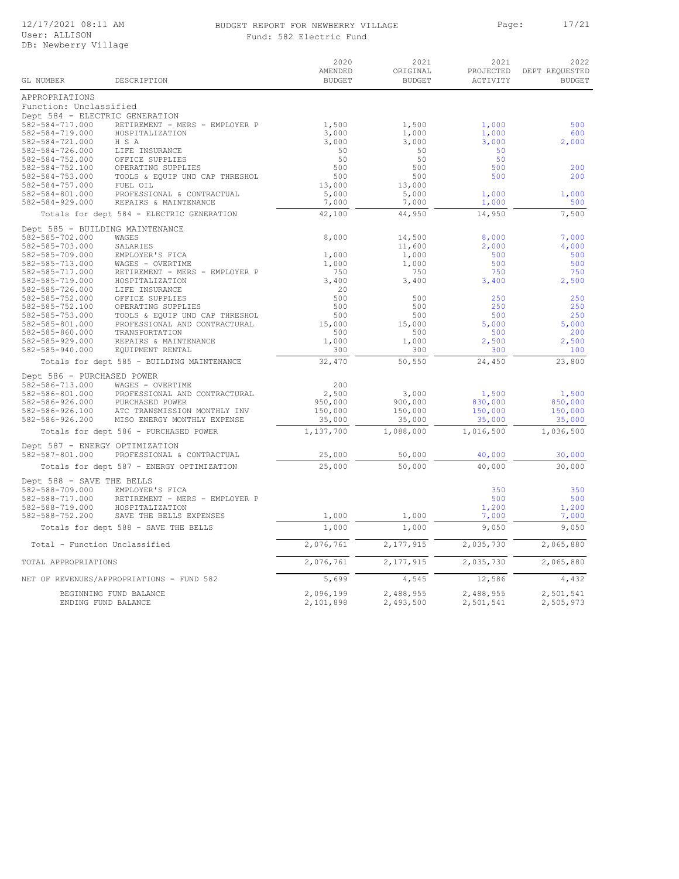#### BUDGET REPORT FOR NEWBERRY VILLAGE PART Page: 17/21 Fund: 582 Electric Fund

| GL NUMBER                                     | DESCRIPTION                                       | 2020<br>AMENDED<br><b>BUDGET</b> | 2021<br>ORIGINAL<br><b>BUDGET</b> | 2021<br>PROJECTED<br>ACTIVITY | 2022<br>DEPT REQUESTED<br><b>BUDGET</b> |
|-----------------------------------------------|---------------------------------------------------|----------------------------------|-----------------------------------|-------------------------------|-----------------------------------------|
|                                               |                                                   |                                  |                                   |                               |                                         |
| APPROPRIATIONS<br>Function: Unclassified      |                                                   |                                  |                                   |                               |                                         |
| Dept 584 - ELECTRIC GENERATION                |                                                   |                                  |                                   |                               |                                         |
| 582-584-717.000                               | RETIREMENT - MERS - EMPLOYER P                    | 1,500                            | 1,500                             | 1,000                         | 500                                     |
| 582-584-719.000                               | HOSPITALIZATION                                   | 3,000                            | 1,000                             | 1,000                         | 600                                     |
| 582-584-721.000                               | H S A                                             | 3,000                            | 3,000                             | 3,000                         | 2,000                                   |
| 582-584-726.000                               | LIFE INSURANCE                                    | 50                               | 50                                | 50                            |                                         |
| 582-584-752.000                               | OFFICE SUPPLIES                                   | 50                               | 50                                | 50                            |                                         |
| 582-584-752.100                               | OPERATING SUPPLIES                                | 500                              | 500                               | 500                           | 200                                     |
| 582-584-753.000                               | TOOLS & EQUIP UND CAP THRESHOL                    | 500                              | 500                               | 500                           | 200                                     |
| 582-584-757.000                               | FUEL OIL                                          | 13,000                           | 13,000                            |                               |                                         |
| 582-584-801.000                               | PROFESSIONAL & CONTRACTUAL                        | 5,000                            | 5,000                             | 1,000                         | 1,000                                   |
| 582-584-929.000                               | REPAIRS & MAINTENANCE                             | 7,000                            | 7,000                             | 1,000                         | 500                                     |
|                                               | Totals for dept 584 - ELECTRIC GENERATION         | 42,100                           | 44,950                            | 14,950                        | 7,500                                   |
| Dept 585 - BUILDING MAINTENANCE               |                                                   |                                  |                                   |                               |                                         |
| 582-585-702.000                               | WAGES                                             | 8,000                            | 14,500                            | 8,000                         | 7,000                                   |
| 582-585-703.000                               | SALARIES                                          |                                  | 11,600                            | 2,000<br>500                  | 4,000<br>500                            |
| 582-585-709.000<br>582-585-713.000            | EMPLOYER'S FICA<br>WAGES - OVERTIME               | 1,000<br>1,000                   | 1,000<br>1,000                    | 500                           | 500                                     |
| 582-585-717.000                               | RETIREMENT - MERS - EMPLOYER P                    | 750                              | 750                               | 750                           | 750                                     |
| 582-585-719.000                               | HOSPITALIZATION                                   | 3,400                            | 3,400                             | 3,400                         | 2,500                                   |
| 582-585-726.000                               | LIFE INSURANCE                                    | 20                               |                                   |                               |                                         |
| 582-585-752.000                               | OFFICE SUPPLIES                                   | 500                              | 500                               | 250                           | 250                                     |
| 582-585-752.100                               | OPERATING SUPPLIES                                | 500                              | 500                               | 250                           | 250                                     |
| 582-585-753.000                               | TOOLS & EQUIP UND CAP THRESHOL                    | 500                              | 500                               | 500                           | 250                                     |
| 582-585-801.000                               | PROFESSIONAL AND CONTRACTURAL                     | 15,000                           | 15,000                            | 5,000                         | 5,000                                   |
| 582-585-860.000                               | TRANSPORTATION                                    | 500                              | 500                               | 500                           | 200                                     |
| 582-585-929.000                               | REPAIRS & MAINTENANCE<br>EQUIPMENT RENTAL         | 1,000<br>300                     | 1,000<br>300                      | 2,500<br>300                  | 2,500<br>100                            |
| $582 - 585 - 940.000$                         | Totals for dept 585 - BUILDING MAINTENANCE        | 32,470                           | 50,550                            | 24,450                        | 23,800                                  |
|                                               |                                                   |                                  |                                   |                               |                                         |
| Dept 586 - PURCHASED POWER<br>582-586-713.000 |                                                   | 200                              |                                   |                               |                                         |
| 582-586-801.000                               | WAGES - OVERTIME<br>PROFESSIONAL AND CONTRACTURAL | 2,500                            | 3,000                             | 1,500                         | 1,500                                   |
| 582-586-926.000                               | PURCHASED POWER                                   | 950,000                          | 900,000                           | 830,000                       | 850,000                                 |
| 582-586-926.100                               | ATC TRANSMISSION MONTHLY INV                      | 150,000                          | 150,000                           | 150,000                       | 150,000                                 |
| 582-586-926.200                               | MISO ENERGY MONTHLY EXPENSE                       | 35,000                           | 35,000                            | 35,000                        | 35,000                                  |
|                                               | Totals for dept 586 - PURCHASED POWER             | 1,137,700                        | 1,088,000                         | 1,016,500                     | 1,036,500                               |
| Dept 587 - ENERGY OPTIMIZATION                |                                                   |                                  |                                   |                               |                                         |
| 582-587-801.000                               | PROFESSIONAL & CONTRACTUAL                        | 25,000                           | 50,000                            | 40,000                        | 30,000                                  |
|                                               | Totals for dept 587 - ENERGY OPTIMIZATION         | 25,000                           | 50,000                            | 40,000                        | 30,000                                  |
| Dept 588 - SAVE THE BELLS                     |                                                   |                                  |                                   |                               |                                         |
| 582-588-709.000                               | EMPLOYER'S FICA                                   |                                  |                                   | 350                           | 350                                     |
| 582-588-717.000                               | RETIREMENT - MERS - EMPLOYER P                    |                                  |                                   | 500                           | 500                                     |
| 582-588-719.000                               | HOSPITALIZATION                                   |                                  |                                   | 1,200                         | 1,200                                   |
| 582-588-752.200                               | SAVE THE BELLS EXPENSES                           | 1,000                            | 1,000                             | 7,000                         | 7,000                                   |
|                                               | Totals for dept 588 - SAVE THE BELLS              | 1,000                            | 1,000                             | 9,050                         | 9,050                                   |
| Total - Function Unclassified                 |                                                   | 2,076,761                        | 2,177,915                         | 2,035,730                     | 2,065,880                               |
| TOTAL APPROPRIATIONS                          |                                                   | 2,076,761                        | 2,177,915                         | 2,035,730                     | 2,065,880                               |
|                                               | NET OF REVENUES/APPROPRIATIONS - FUND 582         | 5,699                            | 4,545                             | 12,586                        | 4,432                                   |
|                                               | BEGINNING FUND BALANCE                            | 2,096,199                        | 2,488,955                         | 2,488,955                     | 2,501,541                               |
| ENDING FUND BALANCE                           |                                                   | 2,101,898                        | 2,493,500                         | 2,501,541                     | 2,505,973                               |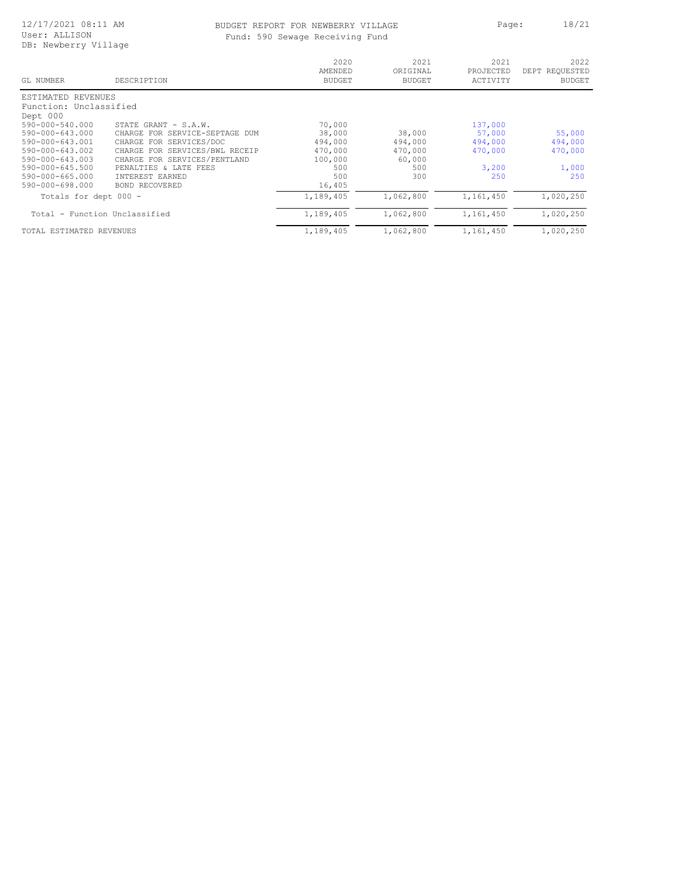### BUDGET REPORT FOR NEWBERRY VILLAGE Page: 18/21<br>
Fund: 590 Sewage Receiving Fund wage Receiving Fund

|  |  |  | ıd: 590 Sewaqe Receiving Funo |  |
|--|--|--|-------------------------------|--|
|--|--|--|-------------------------------|--|

| GL NUMBER                     | DESCRIPTION                       | 2020<br>AMENDED<br><b>BUDGET</b> | 2021<br>ORIGINAL<br><b>BUDGET</b> | 2021<br>PROJECTED<br>ACTIVITY | 2022<br>DEPT REQUESTED<br><b>BUDGET</b> |
|-------------------------------|-----------------------------------|----------------------------------|-----------------------------------|-------------------------------|-----------------------------------------|
| ESTIMATED<br>REVENUES         |                                   |                                  |                                   |                               |                                         |
| Function: Unclassified        |                                   |                                  |                                   |                               |                                         |
| Dept 000                      |                                   |                                  |                                   |                               |                                         |
| 590-000-540.000               | STATE GRANT - S.A.W.              | 70,000                           |                                   | 137,000                       |                                         |
| 590-000-643.000               | FOR SERVICE-SEPTAGE DUM<br>CHARGE | 38,000                           | 38,000                            | 57,000                        | 55,000                                  |
| 590-000-643.001               | FOR SERVICES/DOC<br>CHARGE        | 494,000                          | 494,000                           | 494,000                       | 494,000                                 |
| 590-000-643.002               | CHARGE FOR SERVICES/BWL RECEIP    | 470,000                          | 470,000                           | 470,000                       | 470,000                                 |
| $590 - 000 - 643.003$         | CHARGE FOR SERVICES/PENTLAND      | 100,000                          | 60,000                            |                               |                                         |
| 590-000-645.500               | PENALTIES<br>& LATE FEES          | 500                              | 500                               | 3,200                         | 1,000                                   |
| $590 - 000 - 665.000$         | INTEREST EARNED                   | 500                              | 300                               | 250                           | 250                                     |
| 590-000-698.000               | <b>BOND RECOVERED</b>             | 16,405                           |                                   |                               |                                         |
| Totals for dept 000 -         |                                   | 1,189,405                        | 1,062,800                         | 1,161,450                     | 1,020,250                               |
| Total - Function Unclassified |                                   | 1,189,405                        | 1,062,800                         | 1,161,450                     | 1,020,250                               |
| TOTAL ESTIMATED REVENUES      |                                   | 1,189,405                        | 1,062,800                         | 1,161,450                     | 1,020,250                               |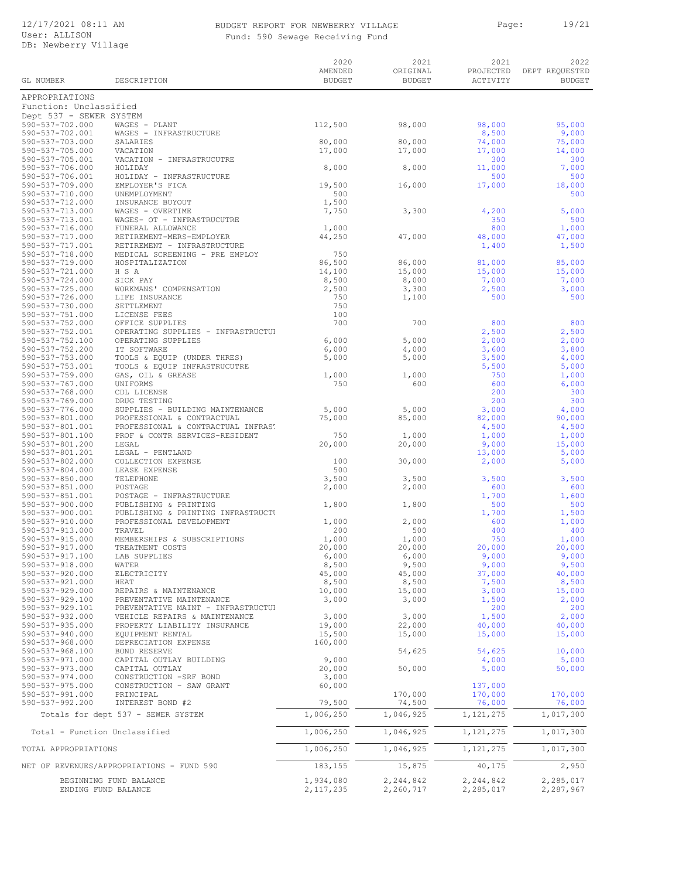## BUDGET REPORT FOR NEWBERRY VILLAGE PART Page: 19/21

Fund: 590 Sewage Receiving Fund

|                                                |                                                                      | 2020<br>AMENDED        | 2021<br>ORIGINAL       | 2021<br>PROJECTED      | 2022<br>DEPT REQUESTED |
|------------------------------------------------|----------------------------------------------------------------------|------------------------|------------------------|------------------------|------------------------|
| GL NUMBER                                      | DESCRIPTION                                                          | <b>BUDGET</b>          | <b>BUDGET</b>          | ACTIVITY               | <b>BUDGET</b>          |
| APPROPRIATIONS                                 |                                                                      |                        |                        |                        |                        |
| Function: Unclassified                         |                                                                      |                        |                        |                        |                        |
| Dept 537 - SEWER SYSTEM<br>590-537-702.000     | WAGES - PLANT                                                        | 112,500                | 98,000                 | 98,000                 | 95,000                 |
| 590-537-702.001                                | WAGES - INFRASTRUCTURE                                               |                        |                        | 8,500                  | 9,000                  |
| 590-537-703.000<br>590-537-705.000             | SALARIES<br>VACATION                                                 | 80,000<br>17,000       | 80,000<br>17,000       | 74,000<br>17,000       | 75,000<br>14,000       |
| 590-537-705.001                                | VACATION - INFRASTRUCUTRE                                            |                        |                        | 300                    | 300                    |
| 590-537-706.000<br>590-537-706.001             | HOLIDAY<br>HOLIDAY - INFRASTRUCTURE                                  | 8,000                  | 8,000                  | 11,000<br>500          | 7,000<br>500           |
| 590-537-709.000                                | EMPLOYER'S FICA                                                      | 19,500                 | 16,000                 | 17,000                 | 18,000                 |
| 590-537-710.000                                | UNEMPLOYMENT                                                         | 500                    |                        |                        | 500                    |
| 590-537-712.000<br>590-537-713.000             | INSURANCE BUYOUT<br>WAGES - OVERTIME                                 | 1,500<br>7,750         | 3,300                  | 4,200                  | 5,000                  |
| 590-537-713.001                                | WAGES- OT - INFRASTRUCUTRE                                           |                        |                        | 350                    | 500                    |
| 590-537-716.000<br>590-537-717.000             | FUNERAL ALLOWANCE<br>RETIREMENT-MERS-EMPLOYER                        | 1,000<br>44,250        | 47,000                 | 800<br>48,000          | 1,000<br>47,000        |
| 590-537-717.001                                | RETIREMENT - INFRASTRUCTURE                                          |                        |                        | 1,400                  | 1,500                  |
| 590-537-718.000<br>590-537-719.000             | MEDICAL SCREENING - PRE EMPLOY<br>HOSPITALIZATION                    | 750<br>86,500          | 86,000                 | 81,000                 | 85,000                 |
| 590-537-721.000                                | H S A                                                                | 14,100                 | 15,000                 | 15,000                 | 15,000                 |
| 590-537-724.000<br>590-537-725.000             | SICK PAY<br>WORKMANS' COMPENSATION                                   | 8,500<br>2,500         | 8,000<br>3,300         | 7,000<br>2,500         | 7,000<br>3,000         |
| 590-537-726.000                                | LIFE INSURANCE                                                       | 750                    | 1,100                  | 500                    | 500                    |
| 590-537-730.000                                | SETTLEMENT                                                           | 750<br>100             |                        |                        |                        |
| 590-537-751.000<br>590-537-752.000             | LICENSE FEES<br>OFFICE SUPPLIES                                      | 700                    | 700                    | 800                    | 800                    |
| 590-537-752.001                                | OPERATING SUPPLIES - INFRASTRUCTUP                                   |                        |                        | 2,500                  | 2,500                  |
| 590-537-752.100<br>590-537-752.200             | OPERATING SUPPLIES<br>IT SOFTWARE                                    | 6,000<br>6,000         | 5,000<br>4,000         | 2,000<br>3,600         | 2,000<br>3,800         |
| 590-537-753.000                                | TOOLS & EQUIP (UNDER THRES)                                          | 5,000                  | 5,000                  | 3,500                  | 4,000                  |
| 590-537-753.001<br>590-537-759.000             | TOOLS & EQUIP INFRASTRUCUTRE<br>GAS, OIL & GREASE                    | 1,000                  | 1,000                  | 5,500<br>750           | 5,000<br>1,000         |
| 590-537-767.000                                | UNIFORMS                                                             | 750                    | 600                    | 600                    | 6,000                  |
| 590-537-768.000                                | CDL LICENSE                                                          |                        |                        | 200                    | 300                    |
| 590-537-769.000<br>590-537-776.000             | DRUG TESTING<br>SUPPLIES - BUILDING MAINTENANCE                      | 5,000                  | 5,000                  | 200<br>3,000           | 300<br>4,000           |
| 590-537-801.000                                | PROFESSIONAL & CONTRACTUAL                                           | 75,000                 | 85,000                 | 82,000                 | 90,000                 |
| 590-537-801.001<br>590-537-801.100             | PROFESSIONAL & CONTRACTUAL INFRAST<br>PROF & CONTR SERVICES-RESIDENT | 750                    | 1,000                  | 4,500<br>1,000         | 4,500<br>1,000         |
| 590-537-801.200                                | LEGAL                                                                | 20,000                 | 20,000                 | 9,000                  | 15,000                 |
| 590-537-801.201<br>590-537-802.000             | LEGAL - PENTLAND<br>COLLECTION EXPENSE                               | 100                    | 30,000                 | 13,000<br>2,000        | 5,000<br>5,000         |
| 590-537-804.000                                | LEASE EXPENSE                                                        | 500                    |                        |                        |                        |
| 590-537-850.000                                | TELEPHONE                                                            | 3,500                  | 3,500                  | 3,500                  | 3,500                  |
| 590-537-851.000<br>590-537-851.001             | POSTAGE<br>POSTAGE - INFRASTRUCTURE                                  | 2,000                  | 2,000                  | 600<br>1,700           | 600<br>1,600           |
| $590 - 537 - 900.000$                          | PUBLISHING & PRINTING                                                | 1,800                  | 1,800                  | 500                    | 500                    |
| 590-537-900.001<br>590-537-910.000             | PUBLISHING & PRINTING INFRASTRUCTU<br>PROFESSIONAL DEVELOPMENT       | 1,000                  | 2,000                  | 1,700<br>600           | 1,500<br>1,000         |
| 590-537-913.000                                | TRAVEL                                                               | 200                    | 500                    | 400                    | 400                    |
| $590 - 537 - 915.000$<br>$590 - 537 - 917.000$ | MEMBERSHIPS & SUBSCRIPTIONS<br>TREATMENT COSTS                       | 1,000<br>20,000        | 1,000<br>20,000        | 750<br>20,000          | 1,000<br>20,000        |
| 590-537-917.100                                | LAB SUPPLIES                                                         | 6,000                  | 6,000                  | 9,000                  | 9,000                  |
| 590-537-918.000                                | WATER<br>ELECTRICITY                                                 | 8,500                  | 9,500                  | 9,000                  | 9,500                  |
| 590-537-920.000<br>590-537-921.000             | HEAT                                                                 | 45,000<br>8,500        | 45,000<br>8,500        | 37,000<br>7,500        | 40,000<br>8,500        |
| $590 - 537 - 929.000$                          | REPAIRS & MAINTENANCE                                                | 10,000                 | 15,000                 | 3,000                  | 15,000                 |
| 590-537-929.100<br>590-537-929.101             | PREVENTATIVE MAINTENANCE<br>PREVENTATIVE MAINT - INFRASTRUCTUP       | 3,000                  | 3,000                  | 1,500<br>200           | 2,000<br>200           |
| 590-537-932.000                                | VEHICLE REPAIRS & MAINTENANCE                                        | 3,000                  | 3,000                  | 1,500                  | 2,000                  |
| $590 - 537 - 935.000$<br>$590 - 537 - 940.000$ | PROPERTY LIABILITY INSURANCE<br>EQUIPMENT RENTAL                     | 19,000<br>15,500       | 22,000<br>15,000       | 40,000<br>15,000       | 40,000<br>15,000       |
| $590 - 537 - 968.000$                          | DEPRECIATION EXPENSE                                                 | 160,000                |                        |                        |                        |
| 590-537-968.100                                | <b>BOND RESERVE</b>                                                  |                        | 54,625                 | 54,625                 | 10,000                 |
| 590-537-971.000<br>590-537-973.000             | CAPITAL OUTLAY BUILDING<br>CAPITAL OUTLAY                            | 9,000<br>20,000        | 50,000                 | 4,000<br>5,000         | 5,000<br>50,000        |
| 590-537-974.000                                | CONSTRUCTION -SRF BOND                                               | 3,000                  |                        |                        |                        |
| $590 - 537 - 975.000$<br>590-537-991.000       | CONSTRUCTION - SAW GRANT<br>PRINCIPAL                                | 60,000                 | 170,000                | 137,000<br>170,000     | 170,000                |
| 590-537-992.200                                | INTEREST BOND #2                                                     | 79,500                 | 74,500                 | 76,000                 | 76,000                 |
|                                                | Totals for dept 537 - SEWER SYSTEM                                   | 1,006,250              | 1,046,925              | 1,121,275              | 1,017,300              |
| Total - Function Unclassified                  |                                                                      | 1,006,250              | 1,046,925              | 1,121,275              | 1,017,300              |
| TOTAL APPROPRIATIONS                           |                                                                      | 1,006,250              | 1,046,925              | 1,121,275              | 1,017,300              |
|                                                | NET OF REVENUES/APPROPRIATIONS - FUND 590                            | 183,155                | 15,875                 | 40,175                 | 2,950                  |
| ENDING FUND BALANCE                            | BEGINNING FUND BALANCE                                               | 1,934,080<br>2,117,235 | 2,244,842<br>2,260,717 | 2,244,842<br>2,285,017 | 2,285,017<br>2,287,967 |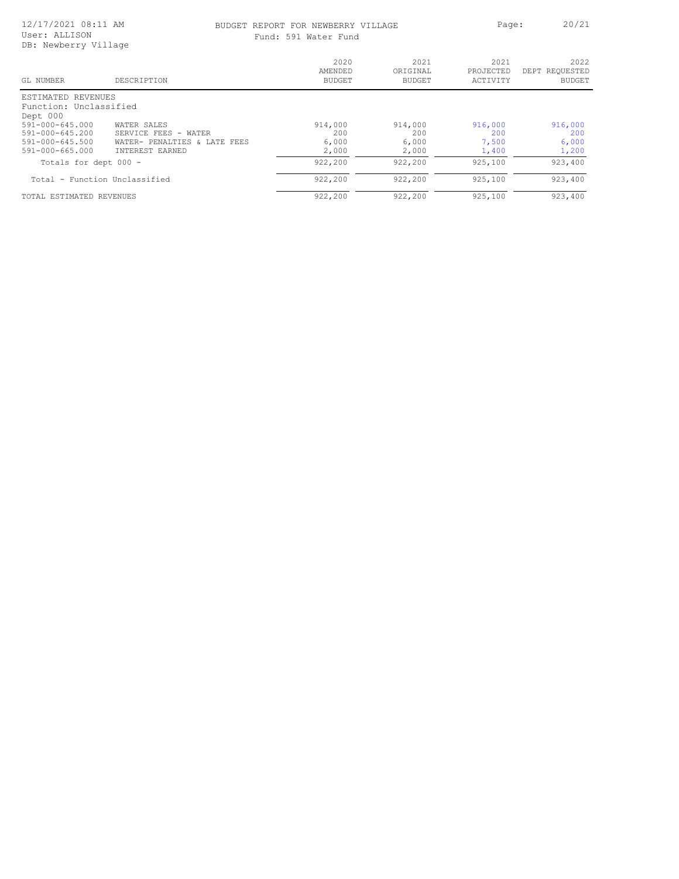#### 12/17/2021 08:11 AM User: ALLISON DB: Newberry Village

# BUDGET REPORT FOR NEWBERRY VILLAGE PART Page: 20/21

| Fund: 591 Water Fund |
|----------------------|
|----------------------|

| GL NUMBER                         | DESCRIPTION                     | 2020<br>AMENDED<br><b>BUDGET</b> | 2021<br>ORIGINAL<br><b>BUDGET</b> | 2021<br>PROJECTED<br>ACTIVITY | 2022<br>DEPT REQUESTED<br><b>BUDGET</b> |
|-----------------------------------|---------------------------------|----------------------------------|-----------------------------------|-------------------------------|-----------------------------------------|
| ESTIMATED REVENUES                |                                 |                                  |                                   |                               |                                         |
| Function: Unclassified            |                                 |                                  |                                   |                               |                                         |
| Dept 000<br>$591 - 000 - 645.000$ | WATER SALES                     | 914,000                          | 914,000                           | 916,000                       | 916,000                                 |
| $591 - 000 - 645.200$             | SERVICE FEES - WATER            | 200                              | 200                               | 200                           | 200                                     |
| $591 - 000 - 645.500$             | WATER- PENALTIES &<br>LATE FEES | 6,000                            | 6,000                             | 7,500                         | 6,000                                   |
| $591 - 000 - 665.000$             | INTEREST EARNED                 | 2,000                            | 2,000                             | 1,400                         | 1,200                                   |
| Totals for dept 000 -             |                                 | 922,200                          | 922,200                           | 925,100                       | 923,400                                 |
| Total - Function Unclassified     |                                 | 922,200                          | 922,200                           | 925,100                       | 923,400                                 |
| TOTAL ESTIMATED REVENUES          |                                 | 922,200                          | 922,200                           | 925,100                       | 923,400                                 |